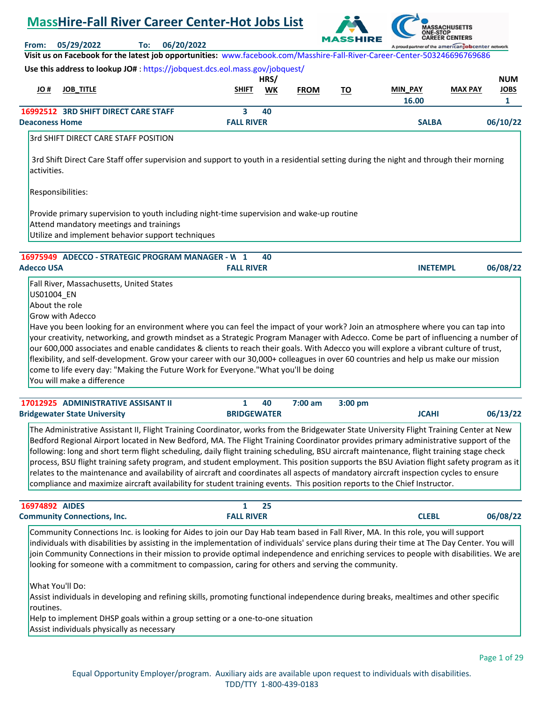|                   |                                                                                                                   |     | <b>MassHire-Fall River Career Center-Hot Jobs List</b>                                    |                   |           |             |          |                                                                                                                           |                |             |
|-------------------|-------------------------------------------------------------------------------------------------------------------|-----|-------------------------------------------------------------------------------------------|-------------------|-----------|-------------|----------|---------------------------------------------------------------------------------------------------------------------------|----------------|-------------|
| From:             | 05/29/2022                                                                                                        | To: | 06/20/2022                                                                                |                   |           |             | MASSHIRE | A proud partner of the american jobcenter network                                                                         |                |             |
|                   |                                                                                                                   |     |                                                                                           |                   |           |             |          | Visit us on Facebook for the latest job opportunities: www.facebook.com/Masshire-Fall-River-Career-Center-503246696769686 |                |             |
|                   |                                                                                                                   |     | Use this address to lookup JO#: https://jobquest.dcs.eol.mass.gov/jobquest/               |                   |           |             |          |                                                                                                                           |                |             |
|                   |                                                                                                                   |     |                                                                                           |                   | HRS/      |             |          |                                                                                                                           |                | <b>NUM</b>  |
| H OL              | <b>JOB TITLE</b>                                                                                                  |     |                                                                                           | <b>SHIFT</b>      | <b>WK</b> | <b>FROM</b> | TO       | <b>MIN PAY</b><br>16.00                                                                                                   | <b>MAX PAY</b> | <b>JOBS</b> |
|                   | 16992512 3RD SHIFT DIRECT CARE STAFF                                                                              |     |                                                                                           | 3                 | 40        |             |          |                                                                                                                           |                | 1           |
|                   | <b>Deaconess Home</b>                                                                                             |     |                                                                                           | <b>FALL RIVER</b> |           |             |          | <b>SALBA</b>                                                                                                              |                | 06/10/22    |
|                   | Responsibilities:<br>Attend mandatory meetings and trainings<br>Utilize and implement behavior support techniques |     | Provide primary supervision to youth including night-time supervision and wake-up routine |                   |           |             |          |                                                                                                                           |                |             |
|                   |                                                                                                                   |     |                                                                                           |                   |           |             |          |                                                                                                                           |                |             |
| <b>Adecco USA</b> |                                                                                                                   |     | 16975949 ADECCO - STRATEGIC PROGRAM MANAGER - W 1                                         | <b>FALL RIVER</b> | 40        |             |          | <b>INETEMPL</b>                                                                                                           |                | 06/08/22    |
|                   | Fall River, Massachusetts, United States<br>US01004 EN<br>About the role<br><b>Grow with Adecco</b>               |     |                                                                                           |                   |           |             |          |                                                                                                                           |                |             |

Have you been looking for an environment where you can feel the impact of your work? Join an atmosphere where you can tap into your creativity, networking, and growth mindset as a Strategic Program Manager with Adecco. Come be part of influencing a number of our 600,000 associates and enable candidates & clients to reach their goals. With Adecco you will explore a vibrant culture of trust, flexibility, and self-development. Grow your career with our 30,000+ colleagues in over 60 countries and help us make our mission come to life every day: "Making the Future Work for Everyone."What you'll be doing You will make a difference

| <b>17012925 ADMINISTRATIVE ASSISANT II</b> |                    | 40 | $7:00$ am | $3:00$ pm |       |          |
|--------------------------------------------|--------------------|----|-----------|-----------|-------|----------|
| <b>Bridgewater State University</b>        | <b>BRIDGEWATER</b> |    |           |           | JCAHI | 06/13/22 |
|                                            |                    |    |           |           |       |          |

The Administrative Assistant II, Flight Training Coordinator, works from the Bridgewater State University Flight Training Center at New Bedford Regional Airport located in New Bedford, MA. The Flight Training Coordinator provides primary administrative support of the following: long and short term flight scheduling, daily flight training scheduling, BSU aircraft maintenance, flight training stage check process, BSU flight training safety program, and student employment. This position supports the BSU Aviation flight safety program as it relates to the maintenance and availability of aircraft and coordinates all aspects of mandatory aircraft inspection cycles to ensure compliance and maximize aircraft availability for student training events. This position reports to the Chief Instructor.

| 16974892 AIDES                     |                   | n r |       |          |
|------------------------------------|-------------------|-----|-------|----------|
| <b>Community Connections, Inc.</b> | <b>FALL RIVER</b> |     | CLEBL | 06/08/22 |

Community Connections Inc. is looking for Aides to join our Day Hab team based in Fall River, MA. In this role, you will support individuals with disabilities by assisting in the implementation of individuals' service plans during their time at The Day Center. You will join Community Connections in their mission to provide optimal independence and enriching services to people with disabilities. We are looking for someone with a commitment to compassion, caring for others and serving the community.

What You'll Do:

Assist individuals in developing and refining skills, promoting functional independence during breaks, mealtimes and other specific routines.

Help to implement DHSP goals within a group setting or a one-to-one situation Assist individuals physically as necessary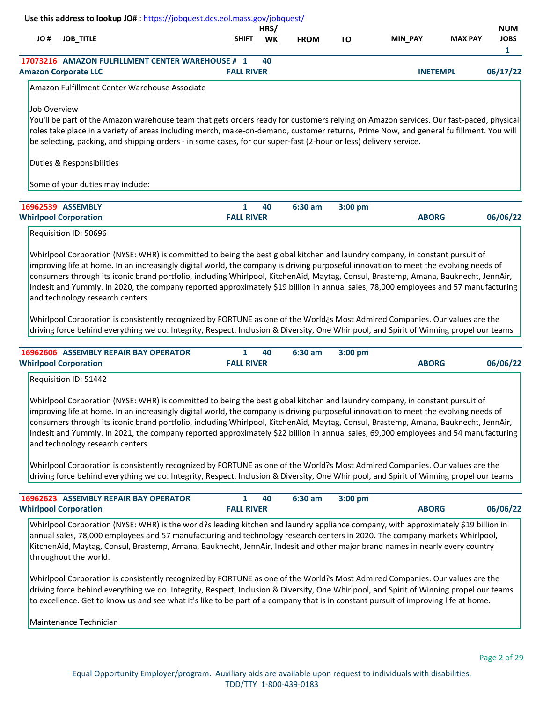|              |                                                           | Use this address to lookup JO#: https://jobquest.dcs.eol.mass.gov/jobquest/                                                                                                                                                                                                                                                                                                                                                                                                                                                                                                                                                                                                                                                                                                                                                  |                        | HRS/ |             |           |                 |                | <b>NUM</b>                  |
|--------------|-----------------------------------------------------------|------------------------------------------------------------------------------------------------------------------------------------------------------------------------------------------------------------------------------------------------------------------------------------------------------------------------------------------------------------------------------------------------------------------------------------------------------------------------------------------------------------------------------------------------------------------------------------------------------------------------------------------------------------------------------------------------------------------------------------------------------------------------------------------------------------------------------|------------------------|------|-------------|-----------|-----------------|----------------|-----------------------------|
| JO #         | <b>JOB_TITLE</b>                                          |                                                                                                                                                                                                                                                                                                                                                                                                                                                                                                                                                                                                                                                                                                                                                                                                                              | SHIFT                  | WK   | <b>FROM</b> | TO        | <b>MIN PAY</b>  | <b>MAX PAY</b> | <b>JOBS</b><br>$\mathbf{1}$ |
|              | <b>Amazon Corporate LLC</b>                               | 17073216 AMAZON FULFILLMENT CENTER WAREHOUSE A 1                                                                                                                                                                                                                                                                                                                                                                                                                                                                                                                                                                                                                                                                                                                                                                             | <b>FALL RIVER</b>      | 40   |             |           | <b>INETEMPL</b> |                | 06/17/22                    |
|              |                                                           | Amazon Fulfillment Center Warehouse Associate                                                                                                                                                                                                                                                                                                                                                                                                                                                                                                                                                                                                                                                                                                                                                                                |                        |      |             |           |                 |                |                             |
| Job Overview |                                                           | You'll be part of the Amazon warehouse team that gets orders ready for customers relying on Amazon services. Our fast-paced, physical<br>roles take place in a variety of areas including merch, make-on-demand, customer returns, Prime Now, and general fulfillment. You will<br>be selecting, packing, and shipping orders - in some cases, for our super-fast (2-hour or less) delivery service.                                                                                                                                                                                                                                                                                                                                                                                                                         |                        |      |             |           |                 |                |                             |
|              | Duties & Responsibilities                                 |                                                                                                                                                                                                                                                                                                                                                                                                                                                                                                                                                                                                                                                                                                                                                                                                                              |                        |      |             |           |                 |                |                             |
|              | Some of your duties may include:                          |                                                                                                                                                                                                                                                                                                                                                                                                                                                                                                                                                                                                                                                                                                                                                                                                                              |                        |      |             |           |                 |                |                             |
|              | 16962539 ASSEMBLY<br><b>Whirlpool Corporation</b>         |                                                                                                                                                                                                                                                                                                                                                                                                                                                                                                                                                                                                                                                                                                                                                                                                                              | 1<br><b>FALL RIVER</b> | 40   | $6:30$ am   | $3:00$ pm | <b>ABORG</b>    |                | 06/06/22                    |
|              | Requisition ID: 50696                                     | Whirlpool Corporation (NYSE: WHR) is committed to being the best global kitchen and laundry company, in constant pursuit of                                                                                                                                                                                                                                                                                                                                                                                                                                                                                                                                                                                                                                                                                                  |                        |      |             |           |                 |                |                             |
|              | and technology research centers.                          | improving life at home. In an increasingly digital world, the company is driving purposeful innovation to meet the evolving needs of<br>consumers through its iconic brand portfolio, including Whirlpool, KitchenAid, Maytag, Consul, Brastemp, Amana, Bauknecht, JennAir,<br>Indesit and Yummly. In 2020, the company reported approximately \$19 billion in annual sales, 78,000 employees and 57 manufacturing<br>Whirlpool Corporation is consistently recognized by FORTUNE as one of the World¿s Most Admired Companies. Our values are the<br>driving force behind everything we do. Integrity, Respect, Inclusion & Diversity, One Whirlpool, and Spirit of Winning propel our teams                                                                                                                                |                        |      |             |           |                 |                |                             |
|              |                                                           | 16962606 ASSEMBLY REPAIR BAY OPERATOR                                                                                                                                                                                                                                                                                                                                                                                                                                                                                                                                                                                                                                                                                                                                                                                        | $\mathbf{1}$           | 40   | $6:30$ am   | 3:00 pm   |                 |                |                             |
|              | <b>Whirlpool Corporation</b>                              |                                                                                                                                                                                                                                                                                                                                                                                                                                                                                                                                                                                                                                                                                                                                                                                                                              | <b>FALL RIVER</b>      |      |             |           | <b>ABORG</b>    |                | 06/06/22                    |
|              | Requisition ID: 51442<br>and technology research centers. | Whirlpool Corporation (NYSE: WHR) is committed to being the best global kitchen and laundry company, in constant pursuit of<br>improving life at home. In an increasingly digital world, the company is driving purposeful innovation to meet the evolving needs of<br>consumers through its iconic brand portfolio, including Whirlpool, KitchenAid, Maytag, Consul, Brastemp, Amana, Bauknecht, JennAir,<br>Indesit and Yummly. In 2021, the company reported approximately \$22 billion in annual sales, 69,000 employees and 54 manufacturing<br>Whirlpool Corporation is consistently recognized by FORTUNE as one of the World?s Most Admired Companies. Our values are the<br>driving force behind everything we do. Integrity, Respect, Inclusion & Diversity, One Whirlpool, and Spirit of Winning propel our teams |                        |      |             |           |                 |                |                             |
|              |                                                           | 16962623 ASSEMBLY REPAIR BAY OPERATOR                                                                                                                                                                                                                                                                                                                                                                                                                                                                                                                                                                                                                                                                                                                                                                                        | $\mathbf{1}$           | 40   | 6:30 am     | 3:00 pm   |                 |                |                             |
|              | <b>Whirlpool Corporation</b>                              |                                                                                                                                                                                                                                                                                                                                                                                                                                                                                                                                                                                                                                                                                                                                                                                                                              | <b>FALL RIVER</b>      |      |             |           | <b>ABORG</b>    |                | 06/06/22                    |
|              | throughout the world.                                     | Whirlpool Corporation (NYSE: WHR) is the world?s leading kitchen and laundry appliance company, with approximately \$19 billion in<br>annual sales, 78,000 employees and 57 manufacturing and technology research centers in 2020. The company markets Whirlpool,<br>KitchenAid, Maytag, Consul, Brastemp, Amana, Bauknecht, JennAir, Indesit and other major brand names in nearly every country                                                                                                                                                                                                                                                                                                                                                                                                                            |                        |      |             |           |                 |                |                             |

Whirlpool Corporation is consistently recognized by FORTUNE as one of the World?s Most Admired Companies. Our values are the driving force behind everything we do. Integrity, Respect, Inclusion & Diversity, One Whirlpool, and Spirit of Winning propel our teams to excellence. Get to know us and see what it's like to be part of a company that is in constant pursuit of improving life at home.

Maintenance Technician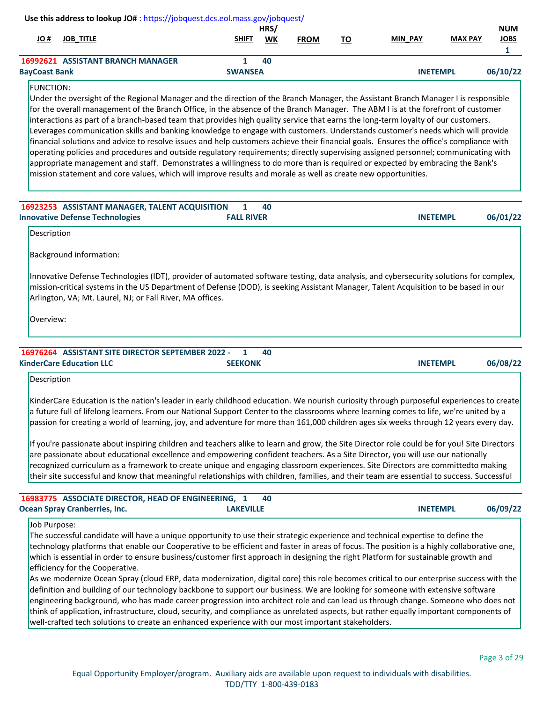| Use this address to lookup JO#: https://jobquest.dcs.eol.mass.gov/jobquest/                             |             |
|---------------------------------------------------------------------------------------------------------|-------------|
| HRS/                                                                                                    | <b>NUM</b>  |
| <b>MAX PAY</b><br><b>SHIFT</b><br><b>JOB TITLE</b><br><b>MIN_PAY</b><br>H OL<br>WK<br><b>FROM</b><br>то | <b>JOBS</b> |
|                                                                                                         |             |
| <b>16992621 ASSISTANT BRANCH MANAGER</b><br>40                                                          |             |
| <b>BayCoast Bank</b><br><b>INETEMPL</b><br><b>SWANSEA</b>                                               | 06/10/22    |

## FUNCTION:

Under the oversight of the Regional Manager and the direction of the Branch Manager, the Assistant Branch Manager I is responsible for the overall management of the Branch Office, in the absence of the Branch Manager. The ABM I is at the forefront of customer interactions as part of a branch-based team that provides high quality service that earns the long-term loyalty of our customers. Leverages communication skills and banking knowledge to engage with customers. Understands customer's needs which will provide financial solutions and advice to resolve issues and help customers achieve their financial goals. Ensures the office's compliance with operating policies and procedures and outside regulatory requirements; directly supervising assigned personnel; communicating with appropriate management and staff. Demonstrates a willingness to do more than is required or expected by embracing the Bank's mission statement and core values, which will improve results and morale as well as create new opportunities.

| 16923253 ASSISTANT MANAGER, TALENT ACQUISITION 1 40 |                   |  |                 |          |
|-----------------------------------------------------|-------------------|--|-----------------|----------|
| <b>Innovative Defense Technologies</b>              | <b>FALL RIVER</b> |  | <b>INETEMPL</b> | 06/01/22 |

| Description             |  |
|-------------------------|--|
|                         |  |
| Background information: |  |

Innovative Defense Technologies (IDT), provider of automated software testing, data analysis, and cybersecurity solutions for complex, mission-critical systems in the US Department of Defense (DOD), is seeking Assistant Manager, Talent Acquisition to be based in our Arlington, VA; Mt. Laurel, NJ; or Fall River, MA offices.

Overview:

| 16976264 ASSISTANT SITE DIRECTOR SEPTEMBER 2022 - |                |  |                 |          |
|---------------------------------------------------|----------------|--|-----------------|----------|
| <b>KinderCare Education LLC</b>                   | <b>SEEKONK</b> |  | <b>INETEMPL</b> | 06/08/22 |

Description

KinderCare Education is the nation's leader in early childhood education. We nourish curiosity through purposeful experiences to create a future full of lifelong learners. From our National Support Center to the classrooms where learning comes to life, we're united by a passion for creating a world of learning, joy, and adventure for more than 161,000 children ages six weeks through 12 years every day.

If you're passionate about inspiring children and teachers alike to learn and grow, the Site Director role could be for you! Site Directors are passionate about educational excellence and empowering confident teachers. As a Site Director, you will use our nationally recognized curriculum as a framework to create unique and engaging classroom experiences. Site Directors are committedto making their site successful and know that meaningful relationships with children, families, and their team are essential to success. Successful

| <b>16983775 ASSOCIATE DIRECTOR, HEAD OF ENGINEERING, 1</b> |                  |  |                 |          |
|------------------------------------------------------------|------------------|--|-----------------|----------|
| <b>Ocean Spray Cranberries, Inc.</b>                       | <b>LAKEVILLE</b> |  | <b>INETEMPL</b> | 06/09/22 |

Job Purpose:

The successful candidate will have a unique opportunity to use their strategic experience and technical expertise to define the technology platforms that enable our Cooperative to be efficient and faster in areas of focus. The position is a highly collaborative one, which is essential in order to ensure business/customer first approach in designing the right Platform for sustainable growth and efficiency for the Cooperative.

As we modernize Ocean Spray (cloud ERP, data modernization, digital core) this role becomes critical to our enterprise success with the definition and building of our technology backbone to support our business. We are looking for someone with extensive software engineering background, who has made career progression into architect role and can lead us through change. Someone who does not think of application, infrastructure, cloud, security, and compliance as unrelated aspects, but rather equally important components of well-crafted tech solutions to create an enhanced experience with our most important stakeholders.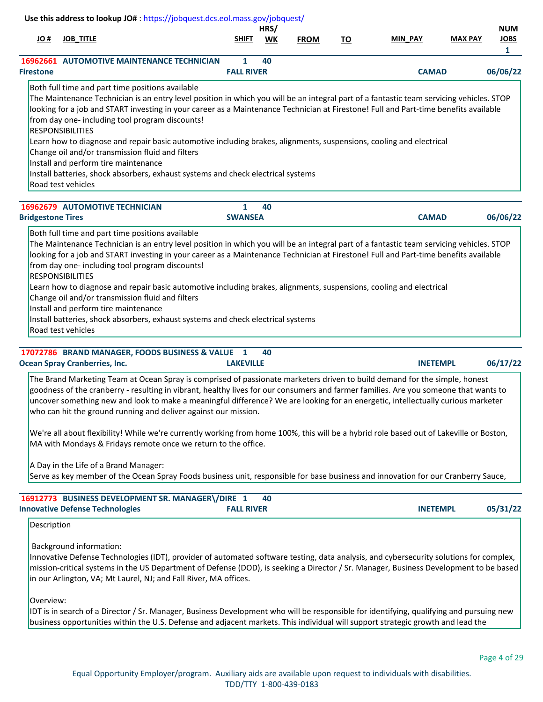| # JO                     | <b>JOB_TITLE</b>                                                                                                                                                                                                                                                                                                                                                                                                                                                                                                                                                                                                                                                                                                                                | <b>SHIFT</b>                   | HRS/<br>WK | <b>FROM</b> | <u>TO</u> | <b>MIN PAY</b>  | <b>MAX PAY</b> | <b>NUM</b><br><b>JOBS</b><br>1 |
|--------------------------|-------------------------------------------------------------------------------------------------------------------------------------------------------------------------------------------------------------------------------------------------------------------------------------------------------------------------------------------------------------------------------------------------------------------------------------------------------------------------------------------------------------------------------------------------------------------------------------------------------------------------------------------------------------------------------------------------------------------------------------------------|--------------------------------|------------|-------------|-----------|-----------------|----------------|--------------------------------|
| <b>Firestone</b>         | <b>16962661 AUTOMOTIVE MAINTENANCE TECHNICIAN</b>                                                                                                                                                                                                                                                                                                                                                                                                                                                                                                                                                                                                                                                                                               | 1<br><b>FALL RIVER</b>         | 40         |             |           | <b>CAMAD</b>    |                | 06/06/22                       |
|                          | Both full time and part time positions available<br>The Maintenance Technician is an entry level position in which you will be an integral part of a fantastic team servicing vehicles. STOP<br>looking for a job and START investing in your career as a Maintenance Technician at Firestone! Full and Part-time benefits available<br>from day one- including tool program discounts!<br><b>RESPONSIBILITIES</b><br>Learn how to diagnose and repair basic automotive including brakes, alignments, suspensions, cooling and electrical<br>Change oil and/or transmission fluid and filters<br>Install and perform tire maintenance<br>Install batteries, shock absorbers, exhaust systems and check electrical systems<br>Road test vehicles |                                |            |             |           |                 |                |                                |
| <b>Bridgestone Tires</b> | <b>16962679 AUTOMOTIVE TECHNICIAN</b>                                                                                                                                                                                                                                                                                                                                                                                                                                                                                                                                                                                                                                                                                                           | $\mathbf{1}$<br><b>SWANSEA</b> | 40         |             |           | <b>CAMAD</b>    |                | 06/06/22                       |
|                          | looking for a job and START investing in your career as a Maintenance Technician at Firestone! Full and Part-time benefits available<br>from day one- including tool program discounts!<br><b>RESPONSIBILITIES</b><br>Learn how to diagnose and repair basic automotive including brakes, alignments, suspensions, cooling and electrical<br>Change oil and/or transmission fluid and filters<br>Install and perform tire maintenance<br>Install batteries, shock absorbers, exhaust systems and check electrical systems<br>Road test vehicles                                                                                                                                                                                                 |                                |            |             |           |                 |                |                                |
|                          | 17072786 BRAND MANAGER, FOODS BUSINESS & VALUE 1<br><b>Ocean Spray Cranberries, Inc.</b>                                                                                                                                                                                                                                                                                                                                                                                                                                                                                                                                                                                                                                                        | <b>LAKEVILLE</b>               | 40         |             |           | <b>INETEMPL</b> |                | 06/17/22                       |
|                          | The Brand Marketing Team at Ocean Spray is comprised of passionate marketers driven to build demand for the simple, honest<br>goodness of the cranberry - resulting in vibrant, healthy lives for our consumers and farmer families. Are you someone that wants to<br>uncover something new and look to make a meaningful difference? We are looking for an energetic, intellectually curious marketer<br>who can hit the ground running and deliver against our mission.<br>We're all about flexibility! While we're currently working from home 100%, this will be a hybrid role based out of Lakeville or Boston,<br>MA with Mondays & Fridays remote once we return to the office.                                                          |                                |            |             |           |                 |                |                                |
|                          | A Day in the Life of a Brand Manager:<br>Serve as key member of the Ocean Spray Foods business unit, responsible for base business and innovation for our Cranberry Sauce,                                                                                                                                                                                                                                                                                                                                                                                                                                                                                                                                                                      |                                |            |             |           |                 |                |                                |
|                          | 16912773 BUSINESS DEVELOPMENT SR. MANAGER\/DIRE 1<br><b>Innovative Defense Technologies</b>                                                                                                                                                                                                                                                                                                                                                                                                                                                                                                                                                                                                                                                     | <b>FALL RIVER</b>              | 40         |             |           | <b>INETEMPL</b> |                | 05/31/22                       |
| Description              |                                                                                                                                                                                                                                                                                                                                                                                                                                                                                                                                                                                                                                                                                                                                                 |                                |            |             |           |                 |                |                                |
|                          | Background information:<br>Innovative Defense Technologies (IDT), provider of automated software testing, data analysis, and cybersecurity solutions for complex,<br>mission-critical systems in the US Department of Defense (DOD), is seeking a Director / Sr. Manager, Business Development to be based<br>in our Arlington, VA; Mt Laurel, NJ; and Fall River, MA offices.                                                                                                                                                                                                                                                                                                                                                                  |                                |            |             |           |                 |                |                                |

Overview:

IDT is in search of a Director / Sr. Manager, Business Development who will be responsible for identifying, qualifying and pursuing new business opportunities within the U.S. Defense and adjacent markets. This individual will support strategic growth and lead the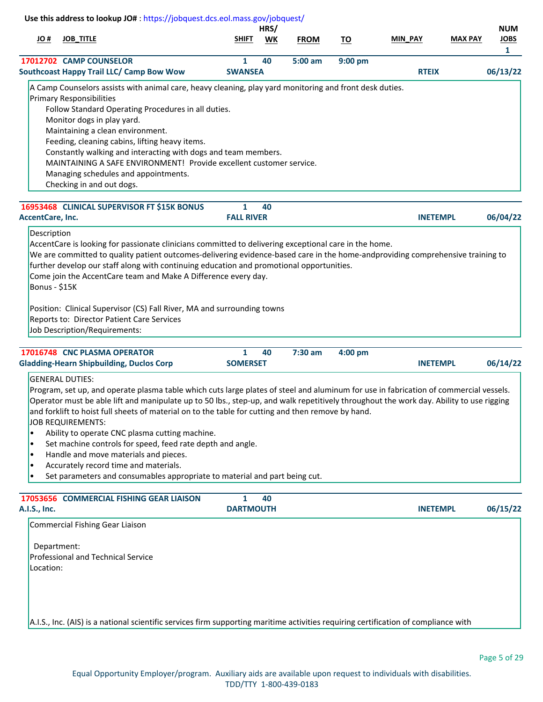| # OL                                     | <b>JOB_TITLE</b>                                                                                                                                                                                                                                                                                                                                                                                                                                                                                                                                                                                                                                                                                                             | SHIFT                  | HRS/<br><b>WK</b>                                                                                                                   | <b>FROM</b> | <u>TO</u> | MIN_PAY         | <b>MAX PAY</b> | <b>NUM</b><br><b>JOBS</b><br>$\mathbf{1}$ |
|------------------------------------------|------------------------------------------------------------------------------------------------------------------------------------------------------------------------------------------------------------------------------------------------------------------------------------------------------------------------------------------------------------------------------------------------------------------------------------------------------------------------------------------------------------------------------------------------------------------------------------------------------------------------------------------------------------------------------------------------------------------------------|------------------------|-------------------------------------------------------------------------------------------------------------------------------------|-------------|-----------|-----------------|----------------|-------------------------------------------|
|                                          | 17012702 CAMP COUNSELOR<br><b>Southcoast Happy Trail LLC/ Camp Bow Wow</b>                                                                                                                                                                                                                                                                                                                                                                                                                                                                                                                                                                                                                                                   | 1<br><b>SWANSEA</b>    | 40                                                                                                                                  | $5:00$ am   | 9:00 pm   | <b>RTEIX</b>    |                | 06/13/22                                  |
|                                          | A Camp Counselors assists with animal care, heavy cleaning, play yard monitoring and front desk duties.<br><b>Primary Responsibilities</b><br>Follow Standard Operating Procedures in all duties.<br>Monitor dogs in play yard.<br>Maintaining a clean environment.<br>Feeding, cleaning cabins, lifting heavy items.<br>Constantly walking and interacting with dogs and team members.<br>MAINTAINING A SAFE ENVIRONMENT! Provide excellent customer service.<br>Managing schedules and appointments.<br>Checking in and out dogs.                                                                                                                                                                                          |                        |                                                                                                                                     |             |           |                 |                |                                           |
| AccentCare, Inc.                         | 16953468 CLINICAL SUPERVISOR FT \$15K BONUS                                                                                                                                                                                                                                                                                                                                                                                                                                                                                                                                                                                                                                                                                  | 1<br><b>FALL RIVER</b> | 40                                                                                                                                  |             |           | <b>INETEMPL</b> |                | 06/04/22                                  |
| Bonus - \$15K                            | further develop our staff along with continuing education and promotional opportunities.<br>Come join the AccentCare team and Make A Difference every day.<br>Position: Clinical Supervisor (CS) Fall River, MA and surrounding towns<br>Reports to: Director Patient Care Services<br>Job Description/Requirements:                                                                                                                                                                                                                                                                                                                                                                                                         |                        |                                                                                                                                     |             |           |                 |                |                                           |
|                                          | 17016748 CNC PLASMA OPERATOR<br><b>Gladding-Hearn Shipbuilding, Duclos Corp</b>                                                                                                                                                                                                                                                                                                                                                                                                                                                                                                                                                                                                                                              | 1<br><b>SOMERSET</b>   | 40                                                                                                                                  | $7:30$ am   | 4:00 pm   | <b>INETEMPL</b> |                | 06/14/22                                  |
| $\bullet$                                | <b>GENERAL DUTIES:</b><br>Program, set up, and operate plasma table which cuts large plates of steel and aluminum for use in fabrication of commercial vessels.<br>Operator must be able lift and manipulate up to 50 lbs., step-up, and walk repetitively throughout the work day. Ability to use rigging<br>and forklift to hoist full sheets of material on to the table for cutting and then remove by hand.<br><b>JOB REQUIREMENTS:</b><br>Ability to operate CNC plasma cutting machine.<br>Set machine controls for speed, feed rate depth and angle.<br>Handle and move materials and pieces.<br>Accurately record time and materials.<br>Set parameters and consumables appropriate to material and part being cut. |                        |                                                                                                                                     |             |           |                 |                |                                           |
|                                          | 17053656 COMMERCIAL FISHING GEAR LIAISON                                                                                                                                                                                                                                                                                                                                                                                                                                                                                                                                                                                                                                                                                     | $\mathbf{1}$           | 40                                                                                                                                  |             |           |                 |                |                                           |
| A.I.S., Inc.<br>Department:<br>Location: | Commercial Fishing Gear Liaison<br>Professional and Technical Service                                                                                                                                                                                                                                                                                                                                                                                                                                                                                                                                                                                                                                                        | <b>DARTMOUTH</b>       | A.I.S., Inc. (AIS) is a national scientific services firm supporting maritime activities requiring certification of compliance with |             |           | <b>INETEMPL</b> |                | 06/15/22                                  |

A.I.S., Inc. (AIS) is a national scientific services firm supporting maritime activities requiring certification of compliance with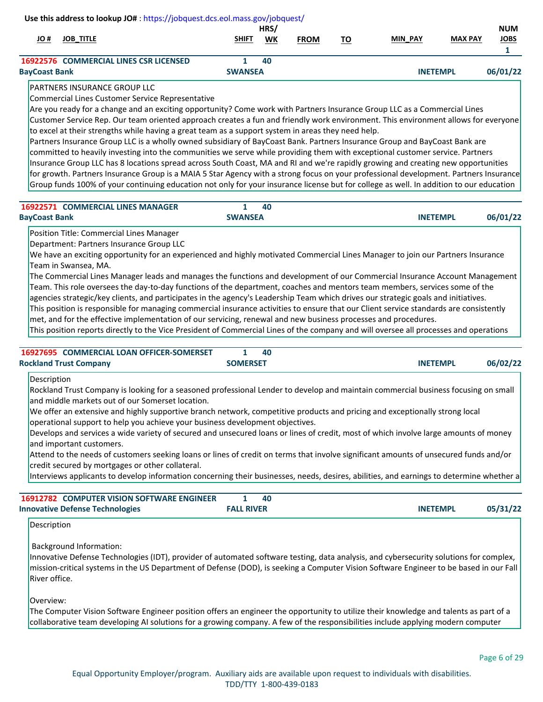|                      | <b>JOB TITLE</b>                              |                | HRS/<br><b>WK</b> | <b>FROM</b> | то | <b>MIN_PAY</b>  | <b>MAX PAY</b> | <b>NUM</b>  |  |
|----------------------|-----------------------------------------------|----------------|-------------------|-------------|----|-----------------|----------------|-------------|--|
| # JO                 |                                               | <b>SHIFT</b>   |                   |             |    |                 |                | <b>JOBS</b> |  |
|                      | <b>16922576 COMMERCIAL LINES CSR LICENSED</b> |                | 40                |             |    |                 |                |             |  |
| <b>BayCoast Bank</b> |                                               | <b>SWANSEA</b> |                   |             |    | <b>INETEMPL</b> |                | 06/01/22    |  |

## PARTNERS INSURANCE GROUP LLC

Commercial Lines Customer Service Representative

Are you ready for a change and an exciting opportunity? Come work with Partners Insurance Group LLC as a Commercial Lines Customer Service Rep. Our team oriented approach creates a fun and friendly work environment. This environment allows for everyone to excel at their strengths while having a great team as a support system in areas they need help.

Partners Insurance Group LLC is a wholly owned subsidiary of BayCoast Bank. Partners Insurance Group and BayCoast Bank are committed to heavily investing into the communities we serve while providing them with exceptional customer service. Partners Insurance Group LLC has 8 locations spread across South Coast, MA and RI and we're rapidly growing and creating new opportunities for growth. Partners Insurance Group is a MAIA 5 Star Agency with a strong focus on your professional development. Partners Insurance Group funds 100% of your continuing education not only for your insurance license but for college as well. In addition to our education

| <b>16922571 COMMERCIAL LINES MANAGER</b> |                | 40 |                 |          |
|------------------------------------------|----------------|----|-----------------|----------|
| <b>BayCoast Bank</b>                     | <b>SWANSEA</b> |    | <b>INETEMPL</b> | 06/01/22 |

Position Title: Commercial Lines Manager

Department: Partners Insurance Group LLC

We have an exciting opportunity for an experienced and highly motivated Commercial Lines Manager to join our Partners Insurance Team in Swansea, MA.

The Commercial Lines Manager leads and manages the functions and development of our Commercial Insurance Account Management Team. This role oversees the day-to-day functions of the department, coaches and mentors team members, services some of the

agencies strategic/key clients, and participates in the agency's Leadership Team which drives our strategic goals and initiatives.

This position is responsible for managing commercial insurance activities to ensure that our Client service standards are consistently met, and for the effective implementation of our servicing, renewal and new business processes and procedures.

This position reports directly to the Vice President of Commercial Lines of the company and will oversee all processes and operations

| 16927695 COMMERCIAL LOAN OFFICER-SOMERSET |                 | 40 |                 |          |
|-------------------------------------------|-----------------|----|-----------------|----------|
| <b>Rockland Trust Company</b>             | <b>SOMERSET</b> |    | <b>INETEMPL</b> | 06/02/22 |

Description

Rockland Trust Company is looking for a seasoned professional Lender to develop and maintain commercial business focusing on small and middle markets out of our Somerset location.

We offer an extensive and highly supportive branch network, competitive products and pricing and exceptionally strong local operational support to help you achieve your business development objectives.

Develops and services a wide variety of secured and unsecured loans or lines of credit, most of which involve large amounts of money and important customers.

Attend to the needs of customers seeking loans or lines of credit on terms that involve significant amounts of unsecured funds and/or credit secured by mortgages or other collateral.

Interviews applicants to develop information concerning their businesses, needs, desires, abilities, and earnings to determine whether a

| <b>16912782 COMPUTER VISION SOFTWARE ENGINEER</b> |                   | 40 |                 |          |
|---------------------------------------------------|-------------------|----|-----------------|----------|
| <b>Innovative Defense Technologies</b>            | <b>FALL RIVER</b> |    | <b>INETEMPL</b> | 05/31/22 |

Description

Background Information:

Innovative Defense Technologies (IDT), provider of automated software testing, data analysis, and cybersecurity solutions for complex, mission-critical systems in the US Department of Defense (DOD), is seeking a Computer Vision Software Engineer to be based in our Fall River office.

Overview:

The Computer Vision Software Engineer position offers an engineer the opportunity to utilize their knowledge and talents as part of a collaborative team developing AI solutions for a growing company. A few of the responsibilities include applying modern computer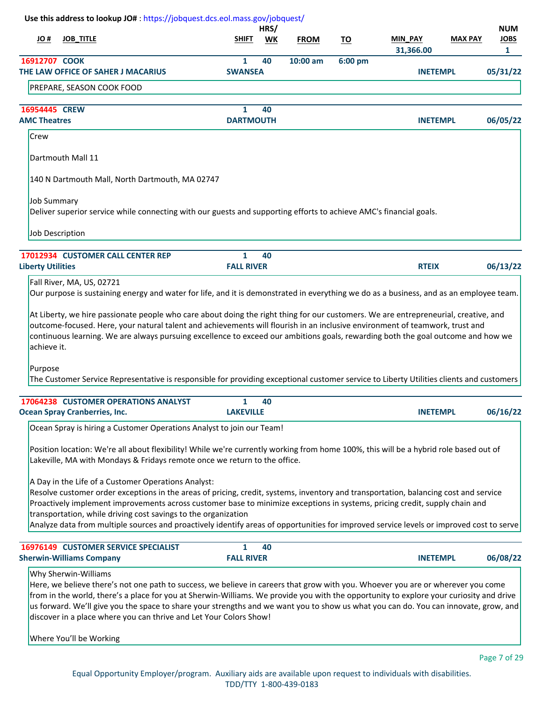| Use this address to lookup JO#: https://jobquest.dcs.eol.mass.gov/jobquest/ |                                                                                                                                                                                                                                                                                 |                                   | HRS/      |             |           |                             |                | <b>NUM</b>       |
|-----------------------------------------------------------------------------|---------------------------------------------------------------------------------------------------------------------------------------------------------------------------------------------------------------------------------------------------------------------------------|-----------------------------------|-----------|-------------|-----------|-----------------------------|----------------|------------------|
| H OL                                                                        | <b>JOB_TITLE</b>                                                                                                                                                                                                                                                                | <b>SHIFT</b>                      | <b>WK</b> | <b>FROM</b> | <u>TO</u> | <b>MIN_PAY</b><br>31,366.00 | <b>MAX PAY</b> | <b>JOBS</b><br>1 |
| 16912707 COOK                                                               | THE LAW OFFICE OF SAHER J MACARIUS                                                                                                                                                                                                                                              | 1<br><b>SWANSEA</b>               | 40        | $10:00$ am  | 6:00 pm   | <b>INETEMPL</b>             |                |                  |
|                                                                             | PREPARE, SEASON COOK FOOD                                                                                                                                                                                                                                                       |                                   |           |             |           |                             |                | 05/31/22         |
|                                                                             |                                                                                                                                                                                                                                                                                 |                                   |           |             |           |                             |                |                  |
| 16954445 CREW<br><b>AMC Theatres</b>                                        |                                                                                                                                                                                                                                                                                 | 1<br><b>DARTMOUTH</b>             | 40        |             |           | <b>INETEMPL</b>             |                | 06/05/22         |
| Crew                                                                        |                                                                                                                                                                                                                                                                                 |                                   |           |             |           |                             |                |                  |
|                                                                             | Dartmouth Mall 11                                                                                                                                                                                                                                                               |                                   |           |             |           |                             |                |                  |
|                                                                             | 140 N Dartmouth Mall, North Dartmouth, MA 02747                                                                                                                                                                                                                                 |                                   |           |             |           |                             |                |                  |
|                                                                             |                                                                                                                                                                                                                                                                                 |                                   |           |             |           |                             |                |                  |
| <b>Job Summary</b>                                                          | Deliver superior service while connecting with our guests and supporting efforts to achieve AMC's financial goals.                                                                                                                                                              |                                   |           |             |           |                             |                |                  |
|                                                                             | Job Description                                                                                                                                                                                                                                                                 |                                   |           |             |           |                             |                |                  |
|                                                                             |                                                                                                                                                                                                                                                                                 |                                   |           |             |           |                             |                |                  |
| <b>Liberty Utilities</b>                                                    | 17012934 CUSTOMER CALL CENTER REP                                                                                                                                                                                                                                               | $\mathbf{1}$<br><b>FALL RIVER</b> | 40        |             |           | <b>RTEIX</b>                |                | 06/13/22         |
|                                                                             | Fall River, MA, US, 02721                                                                                                                                                                                                                                                       |                                   |           |             |           |                             |                |                  |
|                                                                             |                                                                                                                                                                                                                                                                                 |                                   |           |             |           |                             |                |                  |
|                                                                             | Our purpose is sustaining energy and water for life, and it is demonstrated in everything we do as a business, and as an employee team.                                                                                                                                         |                                   |           |             |           |                             |                |                  |
|                                                                             |                                                                                                                                                                                                                                                                                 |                                   |           |             |           |                             |                |                  |
|                                                                             | At Liberty, we hire passionate people who care about doing the right thing for our customers. We are entrepreneurial, creative, and                                                                                                                                             |                                   |           |             |           |                             |                |                  |
|                                                                             | outcome-focused. Here, your natural talent and achievements will flourish in an inclusive environment of teamwork, trust and<br>continuous learning. We are always pursuing excellence to exceed our ambitions goals, rewarding both the goal outcome and how we                |                                   |           |             |           |                             |                |                  |
| achieve it.                                                                 |                                                                                                                                                                                                                                                                                 |                                   |           |             |           |                             |                |                  |
|                                                                             |                                                                                                                                                                                                                                                                                 |                                   |           |             |           |                             |                |                  |
| Purpose                                                                     | The Customer Service Representative is responsible for providing exceptional customer service to Liberty Utilities clients and customers                                                                                                                                        |                                   |           |             |           |                             |                |                  |
|                                                                             | <b>17064238 CUSTOMER OPERATIONS ANALYST</b>                                                                                                                                                                                                                                     |                                   |           |             |           |                             |                |                  |
|                                                                             | <b>Ocean Spray Cranberries, Inc.</b>                                                                                                                                                                                                                                            | 1<br><b>LAKEVILLE</b>             | 40        |             |           | <b>INETEMPL</b>             |                | 06/16/22         |
|                                                                             | Ocean Spray is hiring a Customer Operations Analyst to join our Team!                                                                                                                                                                                                           |                                   |           |             |           |                             |                |                  |
|                                                                             |                                                                                                                                                                                                                                                                                 |                                   |           |             |           |                             |                |                  |
|                                                                             | Position location: We're all about flexibility! While we're currently working from home 100%, this will be a hybrid role based out of<br>Lakeville, MA with Mondays & Fridays remote once we return to the office.                                                              |                                   |           |             |           |                             |                |                  |
|                                                                             |                                                                                                                                                                                                                                                                                 |                                   |           |             |           |                             |                |                  |
|                                                                             | A Day in the Life of a Customer Operations Analyst:<br>Resolve customer order exceptions in the areas of pricing, credit, systems, inventory and transportation, balancing cost and service                                                                                     |                                   |           |             |           |                             |                |                  |
|                                                                             | Proactively implement improvements across customer base to minimize exceptions in systems, pricing credit, supply chain and                                                                                                                                                     |                                   |           |             |           |                             |                |                  |
|                                                                             | transportation, while driving cost savings to the organization                                                                                                                                                                                                                  |                                   |           |             |           |                             |                |                  |
|                                                                             | Analyze data from multiple sources and proactively identify areas of opportunities for improved service levels or improved cost to serve                                                                                                                                        |                                   |           |             |           |                             |                |                  |
|                                                                             | 16976149 CUSTOMER SERVICE SPECIALIST                                                                                                                                                                                                                                            | $\mathbf{1}$                      | 40        |             |           |                             |                |                  |
|                                                                             | <b>Sherwin-Williams Company</b>                                                                                                                                                                                                                                                 | <b>FALL RIVER</b>                 |           |             |           | <b>INETEMPL</b>             |                |                  |
|                                                                             | Why Sherwin-Williams                                                                                                                                                                                                                                                            |                                   |           |             |           |                             |                |                  |
|                                                                             | Here, we believe there's not one path to success, we believe in careers that grow with you. Whoever you are or wherever you come                                                                                                                                                |                                   |           |             |           |                             |                |                  |
|                                                                             | from in the world, there's a place for you at Sherwin-Williams. We provide you with the opportunity to explore your curiosity and drive<br>us forward. We'll give you the space to share your strengths and we want you to show us what you can do. You can innovate, grow, and |                                   |           |             |           |                             |                | 06/08/22         |
|                                                                             | discover in a place where you can thrive and Let Your Colors Show!                                                                                                                                                                                                              |                                   |           |             |           |                             |                |                  |

Page 7 of 29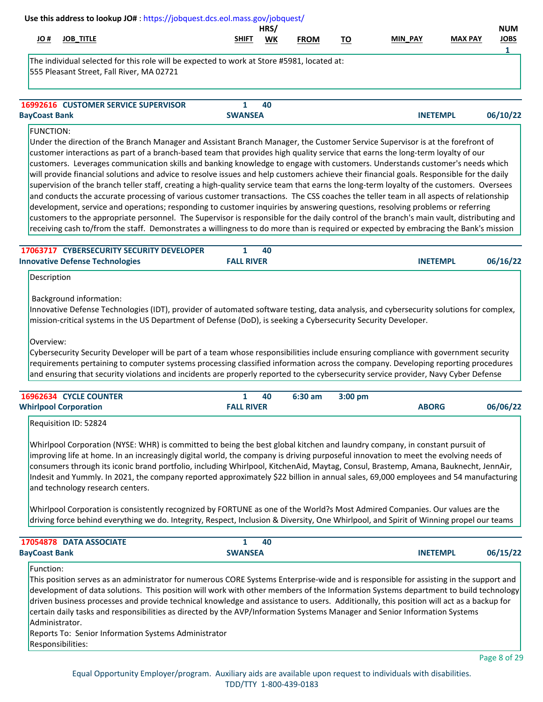|                      | ose this againss to lookap son . https://joogacst.acs.commuss.gov/joogacst/                                                             |                |      |             |           |                 |                |             |
|----------------------|-----------------------------------------------------------------------------------------------------------------------------------------|----------------|------|-------------|-----------|-----------------|----------------|-------------|
|                      |                                                                                                                                         |                | HRS/ |             |           |                 |                | <b>NUM</b>  |
| H OL                 | <b>JOB_TITLE</b>                                                                                                                        | <b>SHIFT</b>   | WK   | <b>FROM</b> | <u>TO</u> | <b>MIN PAY</b>  | <b>MAX PAY</b> | <b>JOBS</b> |
|                      |                                                                                                                                         |                |      |             |           |                 |                |             |
|                      | The individual selected for this role will be expected to work at Store #5981, located at:<br>555 Pleasant Street, Fall River, MA 02721 |                |      |             |           |                 |                |             |
|                      | <b>16992616 CUSTOMER SERVICE SUPERVISOR</b>                                                                                             |                | 40   |             |           |                 |                |             |
| <b>BayCoast Bank</b> |                                                                                                                                         | <b>SWANSEA</b> |      |             |           | <b>INETEMPL</b> |                | 06/10/22    |
| <b>FUNCTION:</b>     | Under the direction of the Branch Manager and Assistant Branch Manager, the Customer Service Supervisor is at the forefront of          |                |      |             |           |                 |                |             |

customer interactions as part of a branch-based team that provides high quality service that earns the long-term loyalty of our customers. Leverages communication skills and banking knowledge to engage with customers. Understands customer's needs which will provide financial solutions and advice to resolve issues and help customers achieve their financial goals. Responsible for the daily supervision of the branch teller staff, creating a high-quality service team that earns the long-term loyalty of the customers. Oversees and conducts the accurate processing of various customer transactions. The CSS coaches the teller team in all aspects of relationship development, service and operations; responding to customer inquiries by answering questions, resolving problems or referring customers to the appropriate personnel. The Supervisor is responsible for the daily control of the branch's main vault, distributing and receiving cash to/from the staff. Demonstrates a willingness to do more than is required or expected by embracing the Bank's mission

| <b>17063717 CYBERSECURITY SECURITY DEVELOPER</b> | 40                |                 |          |
|--------------------------------------------------|-------------------|-----------------|----------|
| <b>Innovative Defense Technologies</b>           | <b>FALL RIVER</b> | <b>INETEMPL</b> | 06/16/22 |

Description

Background information:

Innovative Defense Technologies (IDT), provider of automated software testing, data analysis, and cybersecurity solutions for complex, mission-critical systems in the US Department of Defense (DoD), is seeking a Cybersecurity Security Developer.

Overview:

Cybersecurity Security Developer will be part of a team whose responsibilities include ensuring compliance with government security requirements pertaining to computer systems processing classified information across the company. Developing reporting procedures and ensuring that security violations and incidents are properly reported to the cybersecurity service provider, Navy Cyber Defense

| <b>16962634 CYCLE COUNTER</b> |                   | 40 | $6:30$ am | $3:00$ pm |              |          |
|-------------------------------|-------------------|----|-----------|-----------|--------------|----------|
| <b>Whirlpool Corporation</b>  | <b>FALL RIVER</b> |    |           |           | <b>ABORG</b> | 06/06/22 |

Requisition ID: 52824

Whirlpool Corporation (NYSE: WHR) is committed to being the best global kitchen and laundry company, in constant pursuit of improving life at home. In an increasingly digital world, the company is driving purposeful innovation to meet the evolving needs of consumers through its iconic brand portfolio, including Whirlpool, KitchenAid, Maytag, Consul, Brastemp, Amana, Bauknecht, JennAir, Indesit and Yummly. In 2021, the company reported approximately \$22 billion in annual sales, 69,000 employees and 54 manufacturing and technology research centers.

Whirlpool Corporation is consistently recognized by FORTUNE as one of the World?s Most Admired Companies. Our values are the driving force behind everything we do. Integrity, Respect, Inclusion & Diversity, One Whirlpool, and Spirit of Winning propel our teams

| 17054878 DATA ASSOCIATE |                | 40 |                 |          |
|-------------------------|----------------|----|-----------------|----------|
| <b>BayCoast Bank</b>    | <b>SWANSEA</b> |    | <b>INETEMPL</b> | 06/15/22 |

Function:

This position serves as an administrator for numerous CORE Systems Enterprise-wide and is responsible for assisting in the support and development of data solutions. This position will work with other members of the Information Systems department to build technology driven business processes and provide technical knowledge and assistance to users. Additionally, this position will act as a backup for certain daily tasks and responsibilities as directed by the AVP/Information Systems Manager and Senior Information Systems Administrator.

Reports To: Senior Information Systems Administrator Responsibilities: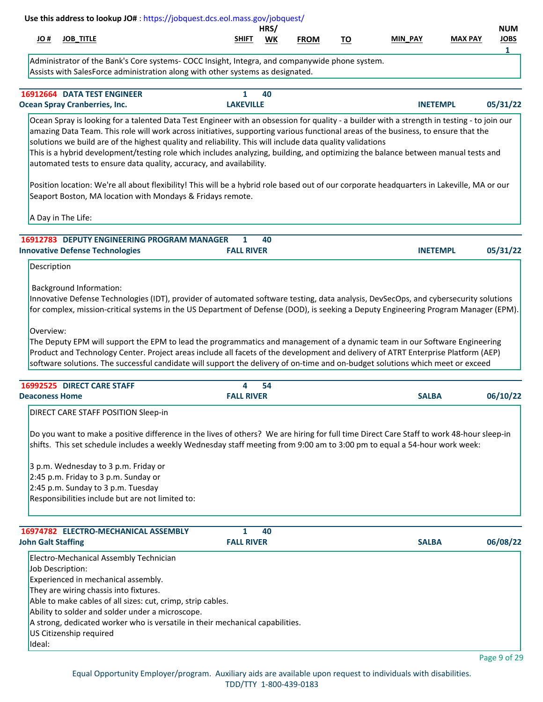| # OL                      | <b>JOB_TITLE</b>                            | Use this address to lookup JO#: https://jobquest.dcs.eol.mass.gov/jobquest/                                                                                                                                                                                                                                                                                                                                                                                                                                                                                                                                                                                                      | SHIFT                             | HRS/      |             |           | MIN PAY         | <b>MAX PAY</b> | <b>NUM</b><br><b>JOBS</b> |
|---------------------------|---------------------------------------------|----------------------------------------------------------------------------------------------------------------------------------------------------------------------------------------------------------------------------------------------------------------------------------------------------------------------------------------------------------------------------------------------------------------------------------------------------------------------------------------------------------------------------------------------------------------------------------------------------------------------------------------------------------------------------------|-----------------------------------|-----------|-------------|-----------|-----------------|----------------|---------------------------|
|                           |                                             |                                                                                                                                                                                                                                                                                                                                                                                                                                                                                                                                                                                                                                                                                  |                                   | <b>WK</b> | <b>FROM</b> | <u>TO</u> |                 |                | $\mathbf{1}$              |
|                           |                                             | Administrator of the Bank's Core systems- COCC Insight, Integra, and companywide phone system.<br>Assists with SalesForce administration along with other systems as designated.                                                                                                                                                                                                                                                                                                                                                                                                                                                                                                 |                                   |           |             |           |                 |                |                           |
|                           | 16912664 DATA TEST ENGINEER                 |                                                                                                                                                                                                                                                                                                                                                                                                                                                                                                                                                                                                                                                                                  | $\mathbf{1}$                      | 40        |             |           |                 |                |                           |
|                           | <b>Ocean Spray Cranberries, Inc.</b>        |                                                                                                                                                                                                                                                                                                                                                                                                                                                                                                                                                                                                                                                                                  | <b>LAKEVILLE</b>                  |           |             |           | <b>INETEMPL</b> |                | 05/31/22                  |
|                           |                                             | Ocean Spray is looking for a talented Data Test Engineer with an obsession for quality - a builder with a strength in testing - to join our<br>amazing Data Team. This role will work across initiatives, supporting various functional areas of the business, to ensure that the<br>solutions we build are of the highest quality and reliability. This will include data quality validations<br>This is a hybrid development/testing role which includes analyzing, building, and optimizing the balance between manual tests and<br>automated tests to ensure data quality, accuracy, and availability.                                                                       |                                   |           |             |           |                 |                |                           |
|                           |                                             | Position location: We're all about flexibility! This will be a hybrid role based out of our corporate headquarters in Lakeville, MA or our<br>Seaport Boston, MA location with Mondays & Fridays remote.                                                                                                                                                                                                                                                                                                                                                                                                                                                                         |                                   |           |             |           |                 |                |                           |
|                           | A Day in The Life:                          |                                                                                                                                                                                                                                                                                                                                                                                                                                                                                                                                                                                                                                                                                  |                                   |           |             |           |                 |                |                           |
|                           | <b>Innovative Defense Technologies</b>      | 16912783 DEPUTY ENGINEERING PROGRAM MANAGER                                                                                                                                                                                                                                                                                                                                                                                                                                                                                                                                                                                                                                      | $\mathbf{1}$<br><b>FALL RIVER</b> | 40        |             |           | <b>INETEMPL</b> |                | 05/31/22                  |
| Description               |                                             |                                                                                                                                                                                                                                                                                                                                                                                                                                                                                                                                                                                                                                                                                  |                                   |           |             |           |                 |                |                           |
| Overview:                 |                                             | Innovative Defense Technologies (IDT), provider of automated software testing, data analysis, DevSecOps, and cybersecurity solutions<br>for complex, mission-critical systems in the US Department of Defense (DOD), is seeking a Deputy Engineering Program Manager (EPM).<br>The Deputy EPM will support the EPM to lead the programmatics and management of a dynamic team in our Software Engineering<br>Product and Technology Center. Project areas include all facets of the development and delivery of ATRT Enterprise Platform (AEP)<br>software solutions. The successful candidate will support the delivery of on-time and on-budget solutions which meet or exceed |                                   |           |             |           |                 |                |                           |
|                           | 16992525 DIRECT CARE STAFF                  |                                                                                                                                                                                                                                                                                                                                                                                                                                                                                                                                                                                                                                                                                  | 4                                 | 54        |             |           |                 |                |                           |
| <b>Deaconess Home</b>     |                                             |                                                                                                                                                                                                                                                                                                                                                                                                                                                                                                                                                                                                                                                                                  | <b>FALL RIVER</b>                 |           |             |           | <b>SALBA</b>    |                | 06/10/22                  |
|                           |                                             | DIRECT CARE STAFF POSITION Sleep-in                                                                                                                                                                                                                                                                                                                                                                                                                                                                                                                                                                                                                                              |                                   |           |             |           |                 |                |                           |
|                           |                                             | Do you want to make a positive difference in the lives of others? We are hiring for full time Direct Care Staff to work 48-hour sleep-in<br>shifts. This set schedule includes a weekly Wednesday staff meeting from 9:00 am to 3:00 pm to equal a 54-hour work week:<br>3 p.m. Wednesday to 3 p.m. Friday or<br>2:45 p.m. Friday to 3 p.m. Sunday or<br>2:45 p.m. Sunday to 3 p.m. Tuesday<br>Responsibilities include but are not limited to:                                                                                                                                                                                                                                  |                                   |           |             |           |                 |                |                           |
|                           |                                             | 16974782 ELECTRO-MECHANICAL ASSEMBLY                                                                                                                                                                                                                                                                                                                                                                                                                                                                                                                                                                                                                                             | 1                                 | 40        |             |           |                 |                |                           |
| <b>John Galt Staffing</b> |                                             |                                                                                                                                                                                                                                                                                                                                                                                                                                                                                                                                                                                                                                                                                  | <b>FALL RIVER</b>                 |           |             |           | <b>SALBA</b>    |                | 06/08/22                  |
| Ideal:                    | Job Description:<br>US Citizenship required | Electro-Mechanical Assembly Technician<br>Experienced in mechanical assembly.<br>They are wiring chassis into fixtures.<br>Able to make cables of all sizes: cut, crimp, strip cables.<br>Ability to solder and solder under a microscope.<br>A strong, dedicated worker who is versatile in their mechanical capabilities.                                                                                                                                                                                                                                                                                                                                                      |                                   |           |             |           |                 |                |                           |

Page 9 of 29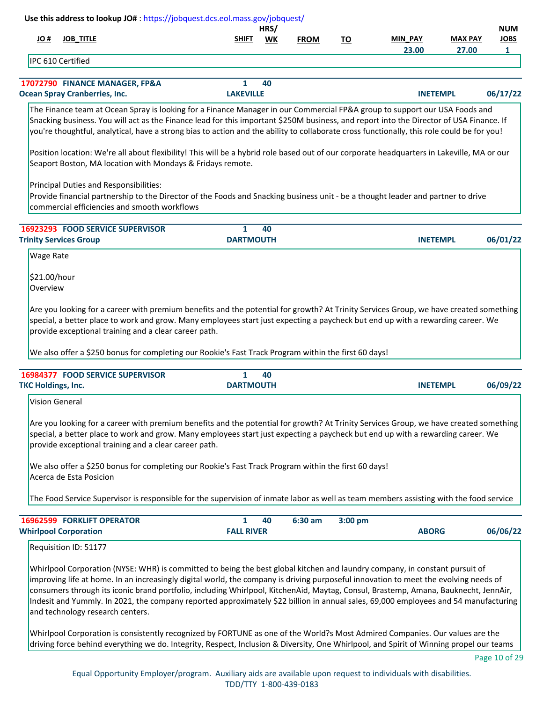|                           | <b>JOB_TITLE</b>                                                                                                                                                                                                                                                                                                                                                                                                                                                                                                                                                                                               | <b>SHIFT</b>           | HRS/<br>WK | <b>FROM</b> | <u>TO</u> | <b>MIN PAY</b>  | <b>MAX PAY</b> | <b>NUM</b><br><b>JOBS</b> |
|---------------------------|----------------------------------------------------------------------------------------------------------------------------------------------------------------------------------------------------------------------------------------------------------------------------------------------------------------------------------------------------------------------------------------------------------------------------------------------------------------------------------------------------------------------------------------------------------------------------------------------------------------|------------------------|------------|-------------|-----------|-----------------|----------------|---------------------------|
|                           | IPC 610 Certified                                                                                                                                                                                                                                                                                                                                                                                                                                                                                                                                                                                              |                        |            |             |           | 23.00           | 27.00          | $\mathbf{1}$              |
|                           |                                                                                                                                                                                                                                                                                                                                                                                                                                                                                                                                                                                                                |                        |            |             |           |                 |                |                           |
|                           | 17072790 FINANCE MANAGER, FP&A<br><b>Ocean Spray Cranberries, Inc.</b>                                                                                                                                                                                                                                                                                                                                                                                                                                                                                                                                         | 1<br><b>LAKEVILLE</b>  | 40         |             |           | <b>INETEMPL</b> |                | 06/17/22                  |
|                           | The Finance team at Ocean Spray is looking for a Finance Manager in our Commercial FP&A group to support our USA Foods and<br>Snacking business. You will act as the Finance lead for this important \$250M business, and report into the Director of USA Finance. If<br>you're thoughtful, analytical, have a strong bias to action and the ability to collaborate cross functionally, this role could be for you!                                                                                                                                                                                            |                        |            |             |           |                 |                |                           |
|                           | Position location: We're all about flexibility! This will be a hybrid role based out of our corporate headquarters in Lakeville, MA or our<br>Seaport Boston, MA location with Mondays & Fridays remote.                                                                                                                                                                                                                                                                                                                                                                                                       |                        |            |             |           |                 |                |                           |
|                           | Principal Duties and Responsibilities:<br>Provide financial partnership to the Director of the Foods and Snacking business unit - be a thought leader and partner to drive<br>commercial efficiencies and smooth workflows                                                                                                                                                                                                                                                                                                                                                                                     |                        |            |             |           |                 |                |                           |
|                           | 16923293 FOOD SERVICE SUPERVISOR                                                                                                                                                                                                                                                                                                                                                                                                                                                                                                                                                                               | $\mathbf{1}$           | 40         |             |           |                 |                |                           |
| Wage Rate                 | <b>Trinity Services Group</b>                                                                                                                                                                                                                                                                                                                                                                                                                                                                                                                                                                                  | <b>DARTMOUTH</b>       |            |             |           | <b>INETEMPL</b> |                | 06/01/22                  |
| \$21.00/hour<br>Overview  | Are you looking for a career with premium benefits and the potential for growth? At Trinity Services Group, we have created something<br>special, a better place to work and grow. Many employees start just expecting a paycheck but end up with a rewarding career. We<br>provide exceptional training and a clear career path.<br>We also offer a \$250 bonus for completing our Rookie's Fast Track Program within the first 60 days!                                                                                                                                                                      |                        |            |             |           |                 |                |                           |
|                           | 16984377 FOOD SERVICE SUPERVISOR                                                                                                                                                                                                                                                                                                                                                                                                                                                                                                                                                                               | $\mathbf{1}$           | 40         |             |           |                 |                |                           |
| <b>TKC Holdings, Inc.</b> |                                                                                                                                                                                                                                                                                                                                                                                                                                                                                                                                                                                                                | <b>DARTMOUTH</b>       |            |             |           | <b>INETEMPL</b> |                |                           |
|                           | <b>Vision General</b>                                                                                                                                                                                                                                                                                                                                                                                                                                                                                                                                                                                          |                        |            |             |           |                 |                |                           |
|                           | Are you looking for a career with premium benefits and the potential for growth? At Trinity Services Group, we have created something<br>special, a better place to work and grow. Many employees start just expecting a paycheck but end up with a rewarding career. We<br>provide exceptional training and a clear career path.<br>We also offer a \$250 bonus for completing our Rookie's Fast Track Program within the first 60 days!<br>Acerca de Esta Posicion<br>The Food Service Supervisor is responsible for the supervision of inmate labor as well as team members assisting with the food service |                        |            |             |           |                 |                |                           |
|                           |                                                                                                                                                                                                                                                                                                                                                                                                                                                                                                                                                                                                                |                        |            |             |           |                 |                |                           |
|                           | <b>16962599 FORKLIFT OPERATOR</b><br><b>Whirlpool Corporation</b>                                                                                                                                                                                                                                                                                                                                                                                                                                                                                                                                              | 1<br><b>FALL RIVER</b> | 40         | $6:30$ am   | 3:00 pm   | <b>ABORG</b>    |                | 06/09/22<br>06/06/22      |

Page 10 of 29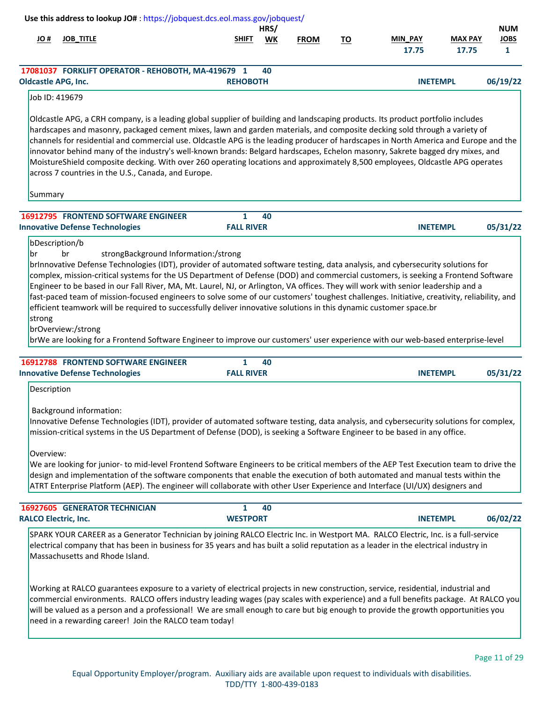|                             | Use this address to lookup JO#: https://jobquest.dcs.eol.mass.gov/jobquest/                                                                                                                                                                                                                                                                                                                                                                                                                                                                                                                                                                                                                                                                                                                                                            |                                   |                   |             |           |                  |                         |                                           |
|-----------------------------|----------------------------------------------------------------------------------------------------------------------------------------------------------------------------------------------------------------------------------------------------------------------------------------------------------------------------------------------------------------------------------------------------------------------------------------------------------------------------------------------------------------------------------------------------------------------------------------------------------------------------------------------------------------------------------------------------------------------------------------------------------------------------------------------------------------------------------------|-----------------------------------|-------------------|-------------|-----------|------------------|-------------------------|-------------------------------------------|
| # OL                        | <b>JOB_TITLE</b>                                                                                                                                                                                                                                                                                                                                                                                                                                                                                                                                                                                                                                                                                                                                                                                                                       | <b>SHIFT</b>                      | HRS/<br><b>WK</b> | <b>FROM</b> | <u>TO</u> | MIN_PAY<br>17.75 | <b>MAX PAY</b><br>17.75 | <b>NUM</b><br><b>JOBS</b><br>$\mathbf{1}$ |
| <b>Oldcastle APG, Inc.</b>  | 17081037 FORKLIFT OPERATOR - REHOBOTH, MA-419679 1                                                                                                                                                                                                                                                                                                                                                                                                                                                                                                                                                                                                                                                                                                                                                                                     | <b>REHOBOTH</b>                   | 40                |             |           | <b>INETEMPL</b>  |                         | 06/19/22                                  |
| Job ID: 419679              |                                                                                                                                                                                                                                                                                                                                                                                                                                                                                                                                                                                                                                                                                                                                                                                                                                        |                                   |                   |             |           |                  |                         |                                           |
|                             | Oldcastle APG, a CRH company, is a leading global supplier of building and landscaping products. Its product portfolio includes<br>hardscapes and masonry, packaged cement mixes, lawn and garden materials, and composite decking sold through a variety of<br>channels for residential and commercial use. Oldcastle APG is the leading producer of hardscapes in North America and Europe and the<br>innovator behind many of the industry's well-known brands: Belgard hardscapes, Echelon masonry, Sakrete bagged dry mixes, and<br>MoistureShield composite decking. With over 260 operating locations and approximately 8,500 employees, Oldcastle APG operates<br>across 7 countries in the U.S., Canada, and Europe.                                                                                                          |                                   |                   |             |           |                  |                         |                                           |
| Summary                     |                                                                                                                                                                                                                                                                                                                                                                                                                                                                                                                                                                                                                                                                                                                                                                                                                                        |                                   |                   |             |           |                  |                         |                                           |
|                             | <b>16912795 FRONTEND SOFTWARE ENGINEER</b>                                                                                                                                                                                                                                                                                                                                                                                                                                                                                                                                                                                                                                                                                                                                                                                             | $\mathbf{1}$                      | 40                |             |           |                  |                         |                                           |
|                             | <b>Innovative Defense Technologies</b>                                                                                                                                                                                                                                                                                                                                                                                                                                                                                                                                                                                                                                                                                                                                                                                                 | <b>FALL RIVER</b>                 |                   |             |           | <b>INETEMPL</b>  |                         | 05/31/22                                  |
| strong                      | brInnovative Defense Technologies (IDT), provider of automated software testing, data analysis, and cybersecurity solutions for<br>complex, mission-critical systems for the US Department of Defense (DOD) and commercial customers, is seeking a Frontend Software<br>Engineer to be based in our Fall River, MA, Mt. Laurel, NJ, or Arlington, VA offices. They will work with senior leadership and a<br>fast-paced team of mission-focused engineers to solve some of our customers' toughest challenges. Initiative, creativity, reliability, and<br>efficient teamwork will be required to successfully deliver innovative solutions in this dynamic customer space.br<br>brOverview:/strong<br>brWe are looking for a Frontend Software Engineer to improve our customers' user experience with our web-based enterprise-level |                                   |                   |             |           |                  |                         |                                           |
|                             | 16912788 FRONTEND SOFTWARE ENGINEER<br><b>Innovative Defense Technologies</b>                                                                                                                                                                                                                                                                                                                                                                                                                                                                                                                                                                                                                                                                                                                                                          | $\mathbf{1}$<br><b>FALL RIVER</b> | 40                |             |           | <b>INETEMPL</b>  |                         | 05/31/22                                  |
| Description                 |                                                                                                                                                                                                                                                                                                                                                                                                                                                                                                                                                                                                                                                                                                                                                                                                                                        |                                   |                   |             |           |                  |                         |                                           |
| Overview:                   | <b>Background information:</b><br>Innovative Defense Technologies (IDT), provider of automated software testing, data analysis, and cybersecurity solutions for complex,<br>mission-critical systems in the US Department of Defense (DOD), is seeking a Software Engineer to be based in any office.<br>We are looking for junior- to mid-level Frontend Software Engineers to be critical members of the AEP Test Execution team to drive the<br>design and implementation of the software components that enable the execution of both automated and manual tests within the<br>ATRT Enterprise Platform (AEP). The engineer will collaborate with other User Experience and Interface (UI/UX) designers and                                                                                                                        |                                   |                   |             |           |                  |                         |                                           |
|                             | <b>16927605 GENERATOR TECHNICIAN</b>                                                                                                                                                                                                                                                                                                                                                                                                                                                                                                                                                                                                                                                                                                                                                                                                   | 1                                 | 40                |             |           |                  |                         |                                           |
| <b>RALCO Electric, Inc.</b> |                                                                                                                                                                                                                                                                                                                                                                                                                                                                                                                                                                                                                                                                                                                                                                                                                                        | <b>WESTPORT</b>                   |                   |             |           | <b>INETEMPL</b>  |                         | 06/02/22                                  |
|                             | SPARK YOUR CAREER as a Generator Technician by joining RALCO Electric Inc. in Westport MA. RALCO Electric, Inc. is a full-service<br>electrical company that has been in business for 35 years and has built a solid reputation as a leader in the electrical industry in<br>Massachusetts and Rhode Island.                                                                                                                                                                                                                                                                                                                                                                                                                                                                                                                           |                                   |                   |             |           |                  |                         |                                           |
|                             | Working at RALCO guarantees exposure to a variety of electrical projects in new construction, service, residential, industrial and<br>commercial environments. RALCO offers industry leading wages (pay scales with experience) and a full benefits package. At RALCO you<br>will be valued as a person and a professional! We are small enough to care but big enough to provide the growth opportunities you<br>need in a rewarding career! Join the RALCO team today!                                                                                                                                                                                                                                                                                                                                                               |                                   |                   |             |           |                  |                         |                                           |

Page 11 of 29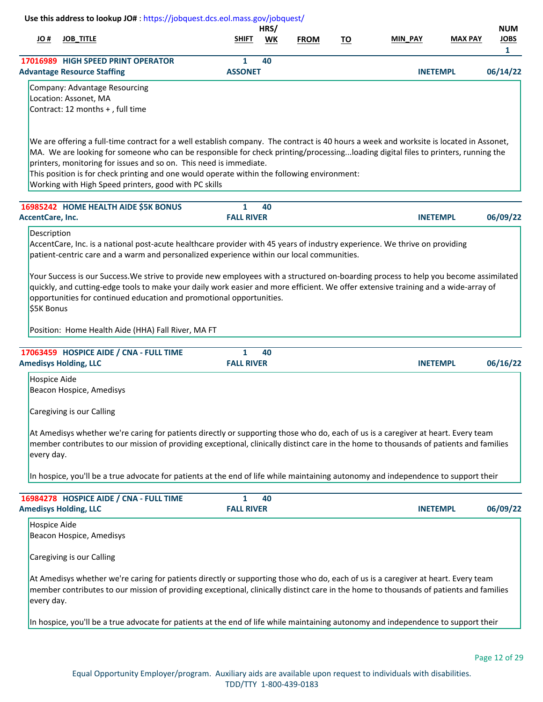# **JO # JOB\_TITLE SHIFT WK MIN\_PAY MAX PAY JOBS HRS/ NUM FROM TO Use this address to lookup JO#** [: https://jobquest.dcs.eol.mass.gov/jobquest/](https://jobquest.dcs.eol.mass.gov/jobquest/)   **1  [17016989](https://jobquest.dcs.eol.mass.gov/jobquest/NewJobDetails.aspx?jo=17016989) 1 HIGH SPEED PRINT OPERATOR 06/14/22 40** Company: Advantage Resourcing Location: Assonet, MA Contract: 12 months + , full time We are offering a full-time contract for a well establish company. The contract is 40 hours a week and worksite is located in Assonet, MA. We are looking for someone who can be responsible for check printing/processing...loading digital files to printers, running the printers, monitoring for issues and so on. This need is immediate. This position is for check printing and one would operate within the following environment: Working with High Speed printers, good with PC skills **Advantage Resource Staffing The Contract Contract ASSONET Associated Advantage Resource Staffing The Contract ASSONET Associated Associate Associate Associated Associated Associated Associated Associated Associated Associ  [16985242](https://jobquest.dcs.eol.mass.gov/jobquest/NewJobDetails.aspx?jo=16985242) 1 HOME HEALTH AIDE \$5K BONUS 06/09/22 40** Description AccentCare, Inc. is a national post-acute healthcare provider with 45 years of industry experience. We thrive on providing patient-centric care and a warm and personalized experience within our local communities. Your Success is our Success.We strive to provide new employees with a structured on-boarding process to help you become assimilated quickly, and cutting-edge tools to make your daily work easier and more efficient. We offer extensive training and a wide-array of opportunities for continued education and promotional opportunities. \$5K Bonus Position: Home Health Aide (HHA) Fall River, MA FT **AccentCare, Inc. FALL RIVER INETEMPL  [17063459](https://jobquest.dcs.eol.mass.gov/jobquest/NewJobDetails.aspx?jo=17063459) 1 HOSPICE AIDE / CNA - FULL TIME 06/16/22 40** Hospice Aide Beacon Hospice, Amedisys Caregiving is our Calling At Amedisys whether we're caring for patients directly or supporting those who do, each of us is a caregiver at heart. Every team member contributes to our mission of providing exceptional, clinically distinct care in the home to thousands of patients and families every day. In hospice, you'll be a true advocate for patients at the end of life while maintaining autonomy and independence to support their **Amedisys Holding, LLC FALL RIVER INETEMPL  [16984278](https://jobquest.dcs.eol.mass.gov/jobquest/NewJobDetails.aspx?jo=16984278) 1 HOSPICE AIDE / CNA - FULL TIME 06/09/22 40** Hospice Aide Beacon Hospice, Amedisys Caregiving is our Calling At Amedisys whether we're caring for patients directly or supporting those who do, each of us is a caregiver at heart. Every team member contributes to our mission of providing exceptional, clinically distinct care in the home to thousands of patients and families every day. **Amedisys Holding, LLC FALL RIVER INETEMPL**

In hospice, you'll be a true advocate for patients at the end of life while maintaining autonomy and independence to support their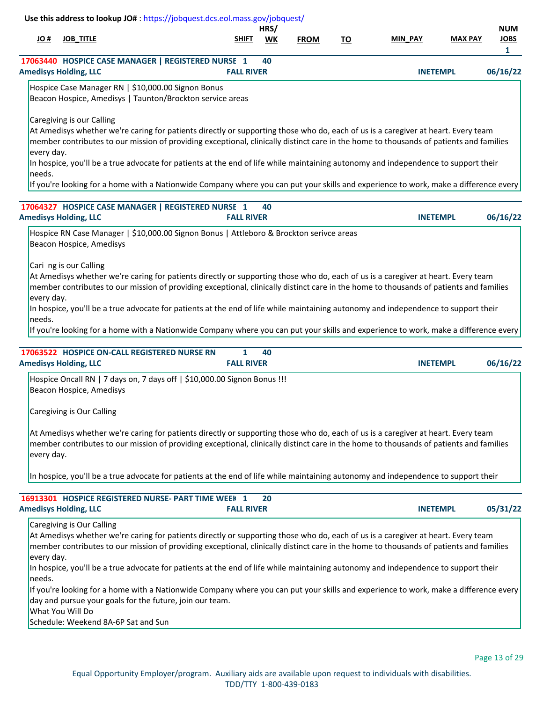|                      |                                                       | Use this address to lookup JO#: https://jobquest.dcs.eol.mass.gov/jobquest/                                                                                                                                                                                                                                                                                                                                                                                                                                                                                                                                                                                                                          |                         |           |             |           |         |                 |                                           |
|----------------------|-------------------------------------------------------|------------------------------------------------------------------------------------------------------------------------------------------------------------------------------------------------------------------------------------------------------------------------------------------------------------------------------------------------------------------------------------------------------------------------------------------------------------------------------------------------------------------------------------------------------------------------------------------------------------------------------------------------------------------------------------------------------|-------------------------|-----------|-------------|-----------|---------|-----------------|-------------------------------------------|
| H OL                 | <b>JOB_TITLE</b>                                      |                                                                                                                                                                                                                                                                                                                                                                                                                                                                                                                                                                                                                                                                                                      | HRS/<br><b>SHIFT</b>    | <b>WK</b> | <b>FROM</b> | <u>TO</u> | MIN_PAY | <b>MAX PAY</b>  | <b>NUM</b><br><b>JOBS</b><br>$\mathbf{1}$ |
|                      | <b>Amedisys Holding, LLC</b>                          | 17063440 HOSPICE CASE MANAGER   REGISTERED NURSE 1                                                                                                                                                                                                                                                                                                                                                                                                                                                                                                                                                                                                                                                   | 40<br><b>FALL RIVER</b> |           |             |           |         | <b>INETEMPL</b> | 06/16/22                                  |
|                      |                                                       | Hospice Case Manager RN   \$10,000.00 Signon Bonus<br>Beacon Hospice, Amedisys   Taunton/Brockton service areas                                                                                                                                                                                                                                                                                                                                                                                                                                                                                                                                                                                      |                         |           |             |           |         |                 |                                           |
| every day.<br>needs. | Caregiving is our Calling                             | At Amedisys whether we're caring for patients directly or supporting those who do, each of us is a caregiver at heart. Every team<br>member contributes to our mission of providing exceptional, clinically distinct care in the home to thousands of patients and families<br>In hospice, you'll be a true advocate for patients at the end of life while maintaining autonomy and independence to support their                                                                                                                                                                                                                                                                                    |                         |           |             |           |         |                 |                                           |
|                      |                                                       | If you're looking for a home with a Nationwide Company where you can put your skills and experience to work, make a difference every                                                                                                                                                                                                                                                                                                                                                                                                                                                                                                                                                                 |                         |           |             |           |         |                 |                                           |
|                      | <b>Amedisys Holding, LLC</b>                          | 17064327 HOSPICE CASE MANAGER   REGISTERED NURSE 1                                                                                                                                                                                                                                                                                                                                                                                                                                                                                                                                                                                                                                                   | 40<br><b>FALL RIVER</b> |           |             |           |         | <b>INETEMPL</b> | 06/16/22                                  |
| every day.<br>needs. | Beacon Hospice, Amedisys<br>Cari ng is our Calling    | Hospice RN Case Manager   \$10,000.00 Signon Bonus   Attleboro & Brockton serivce areas<br>At Amedisys whether we're caring for patients directly or supporting those who do, each of us is a caregiver at heart. Every team<br>member contributes to our mission of providing exceptional, clinically distinct care in the home to thousands of patients and families<br>In hospice, you'll be a true advocate for patients at the end of life while maintaining autonomy and independence to support their<br>If you're looking for a home with a Nationwide Company where you can put your skills and experience to work, make a difference every<br>17063522 HOSPICE ON-CALL REGISTERED NURSE RN | 40<br>1                 |           |             |           |         |                 |                                           |
|                      | <b>Amedisys Holding, LLC</b>                          |                                                                                                                                                                                                                                                                                                                                                                                                                                                                                                                                                                                                                                                                                                      | <b>FALL RIVER</b>       |           |             |           |         | <b>INETEMPL</b> | 06/16/22                                  |
| every day.           | Beacon Hospice, Amedisys<br>Caregiving is Our Calling | Hospice Oncall RN   7 days on, 7 days off   \$10,000.00 Signon Bonus !!!<br>At Amedisys whether we're caring for patients directly or supporting those who do, each of us is a caregiver at heart. Every team<br>member contributes to our mission of providing exceptional, clinically distinct care in the home to thousands of patients and families<br>In hospice, you'll be a true advocate for patients at the end of life while maintaining autonomy and independence to support their                                                                                                                                                                                                        |                         |           |             |           |         |                 |                                           |
|                      |                                                       | 16913301 HOSPICE REGISTERED NURSE- PART TIME WEEK 1                                                                                                                                                                                                                                                                                                                                                                                                                                                                                                                                                                                                                                                  | 20                      |           |             |           |         |                 |                                           |
|                      | <b>Amedisys Holding, LLC</b>                          |                                                                                                                                                                                                                                                                                                                                                                                                                                                                                                                                                                                                                                                                                                      | <b>FALL RIVER</b>       |           |             |           |         | <b>INETEMPL</b> | 05/31/22                                  |
| every day.<br>needs. | Caregiving is Our Calling<br>What You Will Do         | At Amedisys whether we're caring for patients directly or supporting those who do, each of us is a caregiver at heart. Every team<br>member contributes to our mission of providing exceptional, clinically distinct care in the home to thousands of patients and families<br>In hospice, you'll be a true advocate for patients at the end of life while maintaining autonomy and independence to support their<br>If you're looking for a home with a Nationwide Company where you can put your skills and experience to work, make a difference every<br>day and pursue your goals for the future, join our team.<br>Schedule: Weekend 8A-6P Sat and Sun                                         |                         |           |             |           |         |                 |                                           |

Schedule: Weekend 8A-6P Sat and Sun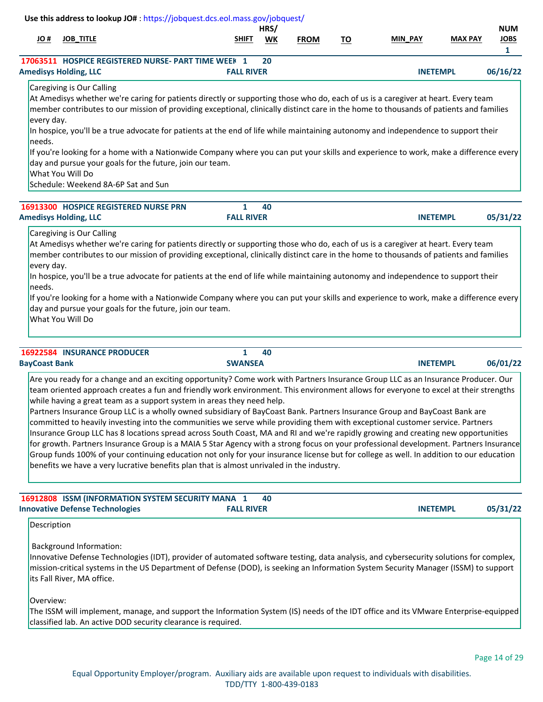| # OL                 |                                                                                                                                                                                                                                                                                                                                                                                                                                                                                                                                                                                                                                                                                                               | Use this address to lookup JO#: https://jobquest.dcs.eol.mass.gov/jobquest/ | HRS/ |             |           |                 |                | <b>NUM</b>                  |
|----------------------|---------------------------------------------------------------------------------------------------------------------------------------------------------------------------------------------------------------------------------------------------------------------------------------------------------------------------------------------------------------------------------------------------------------------------------------------------------------------------------------------------------------------------------------------------------------------------------------------------------------------------------------------------------------------------------------------------------------|-----------------------------------------------------------------------------|------|-------------|-----------|-----------------|----------------|-----------------------------|
|                      | <b>JOB_TITLE</b>                                                                                                                                                                                                                                                                                                                                                                                                                                                                                                                                                                                                                                                                                              | SHIFT                                                                       | WK   | <b>FROM</b> | <u>TO</u> | <b>MIN PAY</b>  | <b>MAX PAY</b> | <b>JOBS</b><br>$\mathbf{1}$ |
|                      | 17063511 HOSPICE REGISTERED NURSE- PART TIME WEEK 1                                                                                                                                                                                                                                                                                                                                                                                                                                                                                                                                                                                                                                                           |                                                                             | 20   |             |           |                 |                |                             |
|                      | <b>Amedisys Holding, LLC</b>                                                                                                                                                                                                                                                                                                                                                                                                                                                                                                                                                                                                                                                                                  | <b>FALL RIVER</b>                                                           |      |             |           | <b>INETEMPL</b> |                | 06/16/22                    |
| every day.<br>needs. | Caregiving is Our Calling<br>At Amedisys whether we're caring for patients directly or supporting those who do, each of us is a caregiver at heart. Every team<br>member contributes to our mission of providing exceptional, clinically distinct care in the home to thousands of patients and families<br>In hospice, you'll be a true advocate for patients at the end of life while maintaining autonomy and independence to support their<br>If you're looking for a home with a Nationwide Company where you can put your skills and experience to work, make a difference every<br>day and pursue your goals for the future, join our team.<br>What You Will Do<br>Schedule: Weekend 8A-6P Sat and Sun |                                                                             |      |             |           |                 |                |                             |
|                      |                                                                                                                                                                                                                                                                                                                                                                                                                                                                                                                                                                                                                                                                                                               |                                                                             |      |             |           |                 |                |                             |
|                      | 16913300 HOSPICE REGISTERED NURSE PRN<br><b>Amedisys Holding, LLC</b>                                                                                                                                                                                                                                                                                                                                                                                                                                                                                                                                                                                                                                         | $\mathbf{1}$<br><b>FALL RIVER</b>                                           | 40   |             |           | <b>INETEMPL</b> |                | 05/31/22                    |
| every day.<br>needs. | At Amedisys whether we're caring for patients directly or supporting those who do, each of us is a caregiver at heart. Every team<br>member contributes to our mission of providing exceptional, clinically distinct care in the home to thousands of patients and families<br>In hospice, you'll be a true advocate for patients at the end of life while maintaining autonomy and independence to support their<br>If you're looking for a home with a Nationwide Company where you can put your skills and experience to work, make a difference every<br>day and pursue your goals for the future, join our team.<br>What You Will Do                                                                     |                                                                             |      |             |           |                 |                |                             |
|                      |                                                                                                                                                                                                                                                                                                                                                                                                                                                                                                                                                                                                                                                                                                               |                                                                             |      |             |           |                 |                |                             |
|                      |                                                                                                                                                                                                                                                                                                                                                                                                                                                                                                                                                                                                                                                                                                               |                                                                             |      |             |           |                 |                |                             |
| <b>BayCoast Bank</b> | 16922584 INSURANCE PRODUCER                                                                                                                                                                                                                                                                                                                                                                                                                                                                                                                                                                                                                                                                                   | $\mathbf{1}$<br><b>SWANSEA</b>                                              | 40   |             |           | <b>INETEMPL</b> |                | 06/01/22                    |

| <b>16912808 ISSM (INFORMATION SYSTEM SECURITY MANA 1</b> |                   | 40 |                 |          |
|----------------------------------------------------------|-------------------|----|-----------------|----------|
| <b>Innovative Defense Technologies</b>                   | <b>FALL RIVER</b> |    | <b>INETEMPL</b> | 05/31/22 |

Description

Background Information:

Innovative Defense Technologies (IDT), provider of automated software testing, data analysis, and cybersecurity solutions for complex, mission-critical systems in the US Department of Defense (DOD), is seeking an Information System Security Manager (ISSM) to support its Fall River, MA office.

Overview:

The ISSM will implement, manage, and support the Information System (IS) needs of the IDT office and its VMware Enterprise-equipped classified lab. An active DOD security clearance is required.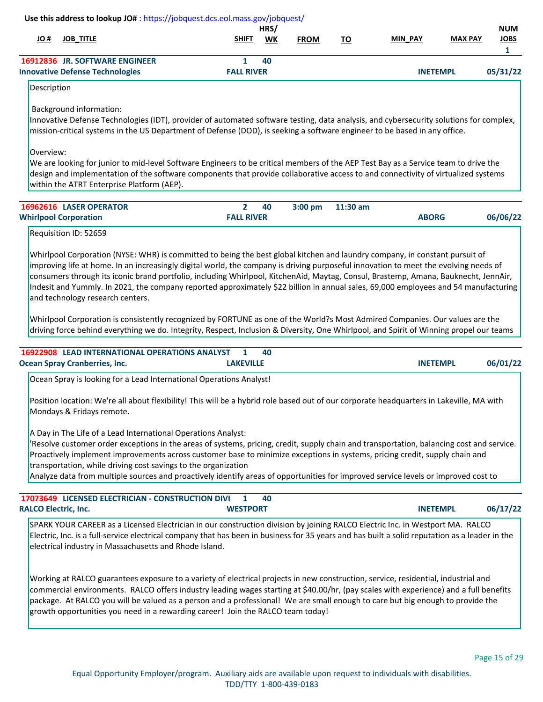|                             | Use this address to lookup JO#: https://jobquest.dcs.eol.mass.gov/jobquest/                                                                                                                                                                                                                                                                                                                                                                                                                                                                       |                                     | HRS/ |             |           |                 |                | <b>NUM</b>                  |
|-----------------------------|---------------------------------------------------------------------------------------------------------------------------------------------------------------------------------------------------------------------------------------------------------------------------------------------------------------------------------------------------------------------------------------------------------------------------------------------------------------------------------------------------------------------------------------------------|-------------------------------------|------|-------------|-----------|-----------------|----------------|-----------------------------|
| # JO                        | <b>JOB TITLE</b>                                                                                                                                                                                                                                                                                                                                                                                                                                                                                                                                  | <b>SHIFT</b>                        | WK   | <b>FROM</b> | <u>TO</u> | <b>MIN PAY</b>  | <b>MAX PAY</b> | <b>JOBS</b><br>$\mathbf{1}$ |
|                             | 16912836 JR. SOFTWARE ENGINEER<br><b>Innovative Defense Technologies</b>                                                                                                                                                                                                                                                                                                                                                                                                                                                                          | 1<br><b>FALL RIVER</b>              | 40   |             |           | <b>INETEMPL</b> |                | 05/31/22                    |
| Description                 |                                                                                                                                                                                                                                                                                                                                                                                                                                                                                                                                                   |                                     |      |             |           |                 |                |                             |
|                             | <b>Background information:</b><br>Innovative Defense Technologies (IDT), provider of automated software testing, data analysis, and cybersecurity solutions for complex,<br>mission-critical systems in the US Department of Defense (DOD), is seeking a software engineer to be based in any office.                                                                                                                                                                                                                                             |                                     |      |             |           |                 |                |                             |
| Overview:                   | We are looking for junior to mid-level Software Engineers to be critical members of the AEP Test Bay as a Service team to drive the<br>design and implementation of the software components that provide collaborative access to and connectivity of virtualized systems<br>within the ATRT Enterprise Platform (AEP).                                                                                                                                                                                                                            |                                     |      |             |           |                 |                |                             |
|                             | 16962616 LASER OPERATOR<br><b>Whirlpool Corporation</b>                                                                                                                                                                                                                                                                                                                                                                                                                                                                                           | $\overline{2}$<br><b>FALL RIVER</b> | 40   | 3:00 pm     | 11:30 am  | <b>ABORG</b>    |                | 06/06/22                    |
|                             | Requisition ID: 52659                                                                                                                                                                                                                                                                                                                                                                                                                                                                                                                             |                                     |      |             |           |                 |                |                             |
|                             | Whirlpool Corporation is consistently recognized by FORTUNE as one of the World?s Most Admired Companies. Our values are the<br>driving force behind everything we do. Integrity, Respect, Inclusion & Diversity, One Whirlpool, and Spirit of Winning propel our teams<br>16922908 LEAD INTERNATIONAL OPERATIONS ANALYST                                                                                                                                                                                                                         | 1                                   | 40   |             |           |                 |                |                             |
|                             | <b>Ocean Spray Cranberries, Inc.</b><br>Ocean Spray is looking for a Lead International Operations Analyst!                                                                                                                                                                                                                                                                                                                                                                                                                                       | <b>LAKEVILLE</b>                    |      |             |           | <b>INETEMPL</b> |                | 06/01/22                    |
|                             | Position location: We're all about flexibility! This will be a hybrid role based out of our corporate headquarters in Lakeville, MA with<br>Mondays & Fridays remote.                                                                                                                                                                                                                                                                                                                                                                             |                                     |      |             |           |                 |                |                             |
|                             | A Day in The Life of a Lead International Operations Analyst:<br>'Resolve customer order exceptions in the areas of systems, pricing, credit, supply chain and transportation, balancing cost and service.<br>Proactively implement improvements across customer base to minimize exceptions in systems, pricing credit, supply chain and<br>transportation, while driving cost savings to the organization<br>Analyze data from multiple sources and proactively identify areas of opportunities for improved service levels or improved cost to |                                     |      |             |           |                 |                |                             |
|                             | 17073649 LICENSED ELECTRICIAN - CONSTRUCTION DIVI                                                                                                                                                                                                                                                                                                                                                                                                                                                                                                 | 1                                   | 40   |             |           |                 |                |                             |
| <b>RALCO Electric, Inc.</b> |                                                                                                                                                                                                                                                                                                                                                                                                                                                                                                                                                   | <b>WESTPORT</b>                     |      |             |           | <b>INETEMPL</b> |                | 06/17/22                    |
|                             | SPARK YOUR CAREER as a Licensed Electrician in our construction division by joining RALCO Electric Inc. in Westport MA. RALCO<br>Electric, Inc. is a full-service electrical company that has been in business for 35 years and has built a solid reputation as a leader in the<br>electrical industry in Massachusetts and Rhode Island.                                                                                                                                                                                                         |                                     |      |             |           |                 |                |                             |
|                             | Working at RALCO guarantees exposure to a variety of electrical projects in new construction, service, residential, industrial and<br>commercial environments. RALCO offers industry leading wages starting at \$40.00/hr, (pay scales with experience) and a full benefits<br>package. At RALCO you will be valued as a person and a professional! We are small enough to care but big enough to provide the<br>growth opportunities you need in a rewarding career! Join the RALCO team today!                                                  |                                     |      |             |           |                 |                |                             |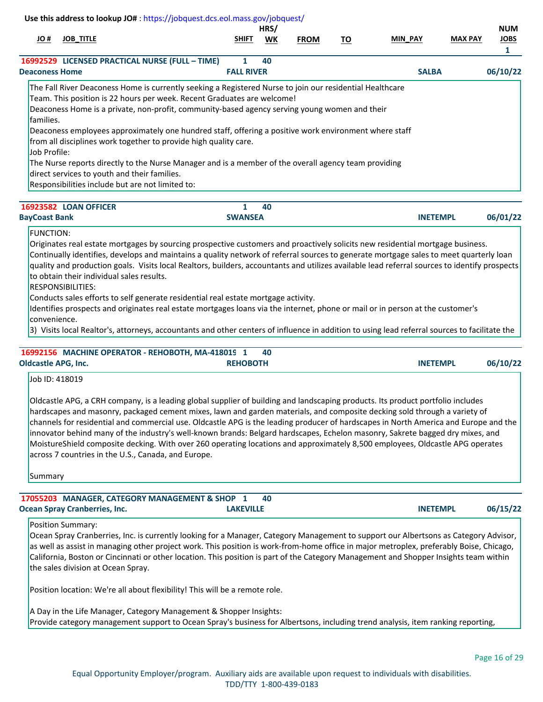|                           | Use this address to lookup JO# : https://jobquest.dcs.eol.mass.gov/jobquest/                                                                                                                                                                                                                                                                                                                                                                                                                                                                                                                                                                                                  |  |                        |            |             |           |                 |                |                                           |  |  |  |
|---------------------------|-------------------------------------------------------------------------------------------------------------------------------------------------------------------------------------------------------------------------------------------------------------------------------------------------------------------------------------------------------------------------------------------------------------------------------------------------------------------------------------------------------------------------------------------------------------------------------------------------------------------------------------------------------------------------------|--|------------------------|------------|-------------|-----------|-----------------|----------------|-------------------------------------------|--|--|--|
| # OL                      | <b>JOB TITLE</b>                                                                                                                                                                                                                                                                                                                                                                                                                                                                                                                                                                                                                                                              |  | <b>SHIFT</b>           | HRS/<br>WK | <b>FROM</b> | <u>TO</u> | <b>MIN PAY</b>  | <b>MAX PAY</b> | <b>NUM</b><br><b>JOBS</b><br>$\mathbf{1}$ |  |  |  |
| <b>Deaconess Home</b>     | 16992529 LICENSED PRACTICAL NURSE (FULL - TIME)                                                                                                                                                                                                                                                                                                                                                                                                                                                                                                                                                                                                                               |  | 1<br><b>FALL RIVER</b> | 40         |             |           | <b>SALBA</b>    |                | 06/10/22                                  |  |  |  |
| families.<br>Job Profile: | The Fall River Deaconess Home is currently seeking a Registered Nurse to join our residential Healthcare<br>Team. This position is 22 hours per week. Recent Graduates are welcome!<br>Deaconess Home is a private, non-profit, community-based agency serving young women and their<br>Deaconess employees approximately one hundred staff, offering a positive work environment where staff<br>from all disciplines work together to provide high quality care.<br>The Nurse reports directly to the Nurse Manager and is a member of the overall agency team providing<br>direct services to youth and their families.<br>Responsibilities include but are not limited to: |  |                        |            |             |           |                 |                |                                           |  |  |  |
|                           | <b>16923582 LOAN OFFICER</b>                                                                                                                                                                                                                                                                                                                                                                                                                                                                                                                                                                                                                                                  |  | 1                      | 40         |             |           |                 |                |                                           |  |  |  |
| <b>BayCoast Bank</b>      |                                                                                                                                                                                                                                                                                                                                                                                                                                                                                                                                                                                                                                                                               |  | <b>SWANSEA</b>         |            |             |           | <b>INETEMPL</b> |                | 06/01/22                                  |  |  |  |
| <b>FUNCTION:</b>          | Originates real estate mortgages by sourcing prospective customers and proactively solicits new residential mortgage business.<br>Continually identifies, develops and maintains a quality network of referral sources to generate mortgage sales to meet quarterly loan<br>quality and production goals. Visits local Realtors, builders, accountants and utilizes available lead referral sources to identify prospects<br>to obtain their individual sales results.<br><b>RESPONSIBILITIES:</b><br>Conducts sales efforts to self generate residential real estate mortgage activity                                                                                       |  |                        |            |             |           |                 |                |                                           |  |  |  |

ucts sales efforts to self generate residential real estate mortgage activity. Identifies prospects and originates real estate mortgages loans via the internet, phone or mail or in person at the customer's

convenience.

3) Visits local Realtor's, attorneys, accountants and other centers of influence in addition to using lead referral sources to facilitate the

| 16992156 MACHINE OPERATOR - REHOBOTH, MA-418019 1 40 |                 |                 |          |
|------------------------------------------------------|-----------------|-----------------|----------|
| <b>Oldcastle APG, Inc.</b>                           | <b>REHOBOTH</b> | <b>INETEMPL</b> | 06/10/22 |

# Job ID: 418019

Oldcastle APG, a CRH company, is a leading global supplier of building and landscaping products. Its product portfolio includes hardscapes and masonry, packaged cement mixes, lawn and garden materials, and composite decking sold through a variety of channels for residential and commercial use. Oldcastle APG is the leading producer of hardscapes in North America and Europe and the innovator behind many of the industry's well-known brands: Belgard hardscapes, Echelon masonry, Sakrete bagged dry mixes, and MoistureShield composite decking. With over 260 operating locations and approximately 8,500 employees, Oldcastle APG operates across 7 countries in the U.S., Canada, and Europe.

Summary

| 17055203 MANAGER, CATEGORY MANAGEMENT & SHOP 1 |                  |  |                 |          |
|------------------------------------------------|------------------|--|-----------------|----------|
| <b>Ocean Spray Cranberries, Inc.</b>           | <b>LAKEVILLE</b> |  | <b>INETEMPL</b> | 06/15/22 |

Position Summary:

Ocean Spray Cranberries, Inc. is currently looking for a Manager, Category Management to support our Albertsons as Category Advisor, as well as assist in managing other project work. This position is work-from-home office in major metroplex, preferably Boise, Chicago, California, Boston or Cincinnati or other location. This position is part of the Category Management and Shopper Insights team within the sales division at Ocean Spray.

Position location: We're all about flexibility! This will be a remote role.

A Day in the Life Manager, Category Management & Shopper Insights: Provide category management support to Ocean Spray's business for Albertsons, including trend analysis, item ranking reporting,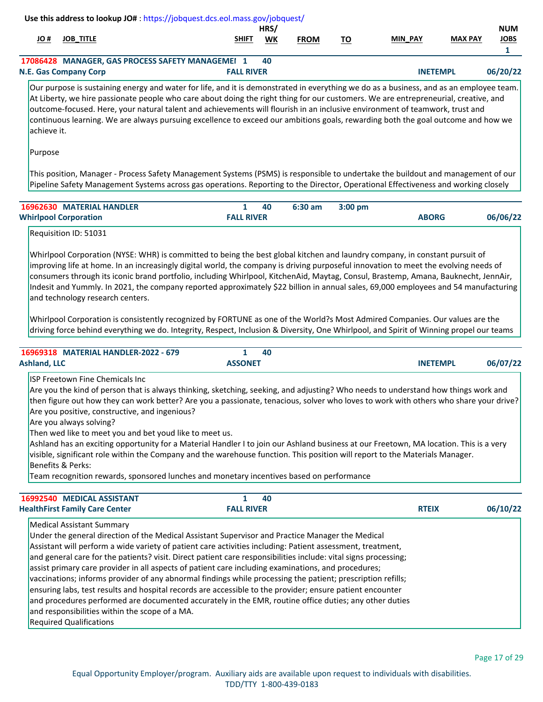|                     | Use this address to lookup JO#: https://jobquest.dcs.eol.mass.gov/jobquest/                                                                                                                                                                                                                                                                                                                                                                                                                                                                                                                                                                                                                                                                                                                                                                                                                            |                                   |            |             |           |                 |                |                                |
|---------------------|--------------------------------------------------------------------------------------------------------------------------------------------------------------------------------------------------------------------------------------------------------------------------------------------------------------------------------------------------------------------------------------------------------------------------------------------------------------------------------------------------------------------------------------------------------------------------------------------------------------------------------------------------------------------------------------------------------------------------------------------------------------------------------------------------------------------------------------------------------------------------------------------------------|-----------------------------------|------------|-------------|-----------|-----------------|----------------|--------------------------------|
| # OL                | <b>JOB_TITLE</b>                                                                                                                                                                                                                                                                                                                                                                                                                                                                                                                                                                                                                                                                                                                                                                                                                                                                                       | <b>SHIFT</b>                      | HRS/<br>WK | <b>FROM</b> | <u>TO</u> | MIN_PAY         | <b>MAX PAY</b> | <b>NUM</b><br><b>JOBS</b><br>1 |
|                     | 17086428 MANAGER, GAS PROCESS SAFETY MANAGEMEI 1<br><b>N.E. Gas Company Corp</b>                                                                                                                                                                                                                                                                                                                                                                                                                                                                                                                                                                                                                                                                                                                                                                                                                       | <b>FALL RIVER</b>                 | 40         |             |           | <b>INETEMPL</b> |                | 06/20/22                       |
| achieve it.         | Our purpose is sustaining energy and water for life, and it is demonstrated in everything we do as a business, and as an employee team.<br>At Liberty, we hire passionate people who care about doing the right thing for our customers. We are entrepreneurial, creative, and<br>outcome-focused. Here, your natural talent and achievements will flourish in an inclusive environment of teamwork, trust and<br>continuous learning. We are always pursuing excellence to exceed our ambitions goals, rewarding both the goal outcome and how we                                                                                                                                                                                                                                                                                                                                                     |                                   |            |             |           |                 |                |                                |
| Purpose             | This position, Manager - Process Safety Management Systems (PSMS) is responsible to undertake the buildout and management of our                                                                                                                                                                                                                                                                                                                                                                                                                                                                                                                                                                                                                                                                                                                                                                       |                                   |            |             |           |                 |                |                                |
|                     | Pipeline Safety Management Systems across gas operations. Reporting to the Director, Operational Effectiveness and working closely                                                                                                                                                                                                                                                                                                                                                                                                                                                                                                                                                                                                                                                                                                                                                                     |                                   |            |             |           |                 |                |                                |
|                     | 16962630 MATERIAL HANDLER<br><b>Whirlpool Corporation</b>                                                                                                                                                                                                                                                                                                                                                                                                                                                                                                                                                                                                                                                                                                                                                                                                                                              | $\mathbf{1}$<br><b>FALL RIVER</b> | 40         | 6:30 am     | $3:00$ pm | <b>ABORG</b>    |                | 06/06/22                       |
|                     | Requisition ID: 51031                                                                                                                                                                                                                                                                                                                                                                                                                                                                                                                                                                                                                                                                                                                                                                                                                                                                                  |                                   |            |             |           |                 |                |                                |
|                     | Whirlpool Corporation (NYSE: WHR) is committed to being the best global kitchen and laundry company, in constant pursuit of<br>improving life at home. In an increasingly digital world, the company is driving purposeful innovation to meet the evolving needs of<br>consumers through its iconic brand portfolio, including Whirlpool, KitchenAid, Maytag, Consul, Brastemp, Amana, Bauknecht, JennAir,<br>Indesit and Yummly. In 2021, the company reported approximately \$22 billion in annual sales, 69,000 employees and 54 manufacturing<br>and technology research centers.<br>Whirlpool Corporation is consistently recognized by FORTUNE as one of the World?s Most Admired Companies. Our values are the<br>driving force behind everything we do. Integrity, Respect, Inclusion & Diversity, One Whirlpool, and Spirit of Winning propel our teams                                       |                                   |            |             |           |                 |                |                                |
| <b>Ashland, LLC</b> | 16969318 MATERIAL HANDLER-2022 - 679                                                                                                                                                                                                                                                                                                                                                                                                                                                                                                                                                                                                                                                                                                                                                                                                                                                                   | $\mathbf{1}$<br><b>ASSONET</b>    | 40         |             |           | <b>INETEMPL</b> |                | 06/07/22                       |
|                     | ISP Freetown Fine Chemicals Inc<br>Are you the kind of person that is always thinking, sketching, seeking, and adjusting? Who needs to understand how things work and<br>then figure out how they can work better? Are you a passionate, tenacious, solver who loves to work with others who share your drive?<br>Are you positive, constructive, and ingenious?<br>Are you always solving?<br>Then wed like to meet you and bet youd like to meet us.<br>Ashland has an exciting opportunity for a Material Handler I to join our Ashland business at our Freetown, MA location. This is a very<br>visible, significant role within the Company and the warehouse function. This position will report to the Materials Manager.<br>Benefits & Perks:<br>Team recognition rewards, sponsored lunches and monetary incentives based on performance                                                      |                                   |            |             |           |                 |                |                                |
|                     | 16992540 MEDICAL ASSISTANT                                                                                                                                                                                                                                                                                                                                                                                                                                                                                                                                                                                                                                                                                                                                                                                                                                                                             | $\mathbf{1}$                      | 40         |             |           |                 |                |                                |
|                     | <b>HealthFirst Family Care Center</b>                                                                                                                                                                                                                                                                                                                                                                                                                                                                                                                                                                                                                                                                                                                                                                                                                                                                  | <b>FALL RIVER</b>                 |            |             |           | <b>RTEIX</b>    |                | 06/10/22                       |
|                     | <b>Medical Assistant Summary</b><br>Under the general direction of the Medical Assistant Supervisor and Practice Manager the Medical<br>Assistant will perform a wide variety of patient care activities including: Patient assessment, treatment,<br>and general care for the patients? visit. Direct patient care responsibilities include: vital signs processing;<br>assist primary care provider in all aspects of patient care including examinations, and procedures;<br>vaccinations; informs provider of any abnormal findings while processing the patient; prescription refills;<br>ensuring labs, test results and hospital records are accessible to the provider; ensure patient encounter<br>and procedures performed are documented accurately in the EMR, routine office duties; any other duties<br>and responsibilities within the scope of a MA.<br><b>Required Qualifications</b> |                                   |            |             |           |                 |                |                                |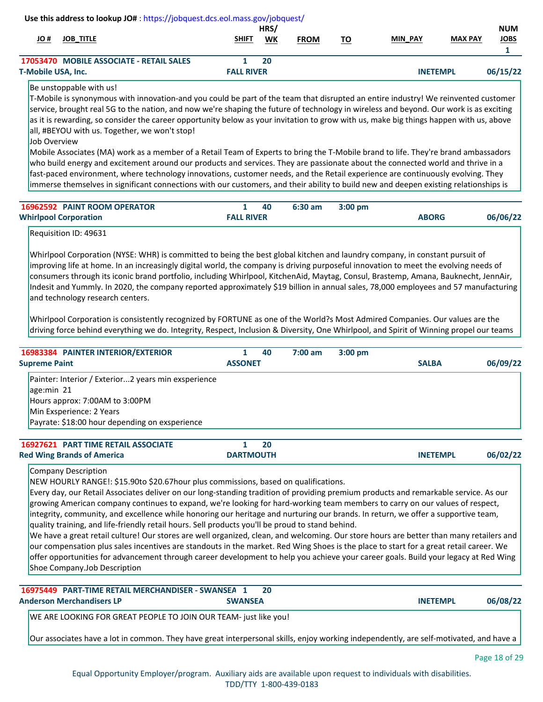| Use this address to lookup JO#: https://jobquest.dcs.eol.mass.gov/jobquest/ |                   |      |             |    |                |                 |             |  |  |
|-----------------------------------------------------------------------------|-------------------|------|-------------|----|----------------|-----------------|-------------|--|--|
|                                                                             |                   | HRS/ |             |    |                |                 | <b>NUM</b>  |  |  |
| <b>JOB TITLE</b><br>JO #                                                    | <b>SHIFT</b>      | WK   | <b>FROM</b> | то | <b>MIN PAY</b> | <b>MAX PAY</b>  | <b>JOBS</b> |  |  |
|                                                                             |                   |      |             |    |                |                 |             |  |  |
| 17053470 MOBILE ASSOCIATE - RETAIL SALES                                    |                   | 20   |             |    |                |                 |             |  |  |
| T-Mobile USA, Inc.                                                          | <b>FALL RIVER</b> |      |             |    |                | <b>INETEMPL</b> | 06/15/22    |  |  |
| Be unstoppable with us!                                                     |                   |      |             |    |                |                 |             |  |  |
|                                                                             |                   |      |             |    |                |                 |             |  |  |

T-Mobile is synonymous with innovation-and you could be part of the team that disrupted an entire industry! We reinvented customer service, brought real 5G to the nation, and now we're shaping the future of technology in wireless and beyond. Our work is as exciting as it is rewarding, so consider the career opportunity below as your invitation to grow with us, make big things happen with us, above all, #BEYOU with us. Together, we won't stop!

Job Overview

Mobile Associates (MA) work as a member of a Retail Team of Experts to bring the T-Mobile brand to life. They're brand ambassadors who build energy and excitement around our products and services. They are passionate about the connected world and thrive in a fast-paced environment, where technology innovations, customer needs, and the Retail experience are continuously evolving. They immerse themselves in significant connections with our customers, and their ability to build new and deepen existing relationships is

| <b>16962592 PAINT ROOM OPERATOR</b> |                   | 40 | $6:30$ am | $3:00 \text{ pm}$ |              |          |
|-------------------------------------|-------------------|----|-----------|-------------------|--------------|----------|
| <b>Whirlpool Corporation</b>        | <b>FALL RIVER</b> |    |           |                   | <b>ABORG</b> | 06/06/22 |

Requisition ID: 49631

Whirlpool Corporation (NYSE: WHR) is committed to being the best global kitchen and laundry company, in constant pursuit of improving life at home. In an increasingly digital world, the company is driving purposeful innovation to meet the evolving needs of consumers through its iconic brand portfolio, including Whirlpool, KitchenAid, Maytag, Consul, Brastemp, Amana, Bauknecht, JennAir, Indesit and Yummly. In 2020, the company reported approximately \$19 billion in annual sales, 78,000 employees and 57 manufacturing and technology research centers.

Whirlpool Corporation is consistently recognized by FORTUNE as one of the World?s Most Admired Companies. Our values are the driving force behind everything we do. Integrity, Respect, Inclusion & Diversity, One Whirlpool, and Spirit of Winning propel our teams

| <b>16983384 PAINTER INTERIOR/EXTERIOR</b>                                                                                            |                  | 40 | $7:00$ am | $3:00$ pm |                 |          |
|--------------------------------------------------------------------------------------------------------------------------------------|------------------|----|-----------|-----------|-----------------|----------|
| <b>Supreme Paint</b>                                                                                                                 | <b>ASSONET</b>   |    |           |           | <b>SALBA</b>    | 06/09/22 |
| Painter: Interior / Exterior2 years min exsperience                                                                                  |                  |    |           |           |                 |          |
| age:min 21                                                                                                                           |                  |    |           |           |                 |          |
| Hours approx: 7:00AM to 3:00PM                                                                                                       |                  |    |           |           |                 |          |
| Min Exsperience: 2 Years                                                                                                             |                  |    |           |           |                 |          |
| Payrate: \$18:00 hour depending on exsperience                                                                                       |                  |    |           |           |                 |          |
|                                                                                                                                      |                  |    |           |           |                 |          |
| <b>16927621 PART TIME RETAIL ASSOCIATE</b>                                                                                           |                  | 20 |           |           |                 |          |
| <b>Red Wing Brands of America</b>                                                                                                    | <b>DARTMOUTH</b> |    |           |           | <b>INETEMPL</b> | 06/02/22 |
| Company Description                                                                                                                  |                  |    |           |           |                 |          |
| NEW HOURLY RANGE!: \$15.90to \$20.67hour plus commissions, based on qualifications.                                                  |                  |    |           |           |                 |          |
| Every day, our Retail Associates deliver on our long-standing tradition of providing premium products and remarkable service. As our |                  |    |           |           |                 |          |
| growing American company continues to expand, we're looking for hard-working team members to carry on our values of respect,         |                  |    |           |           |                 |          |
| integrity, community, and excellence while honoring our heritage and nurturing our brands. In return, we offer a supportive team,    |                  |    |           |           |                 |          |

quality training, and life-friendly retail hours. Sell products you'll be proud to stand behind.

We have a great retail culture! Our stores are well organized, clean, and welcoming. Our store hours are better than many retailers and our compensation plus sales incentives are standouts in the market. Red Wing Shoes is the place to start for a great retail career. We offer opportunities for advancement through career development to help you achieve your career goals. Build your legacy at Red Wing Shoe Company.Job Description

| <b>Anderson Merchandisers LP</b>                 | <b>SWANSEA</b> | <b>INETEMPI</b> | 06/08/22 |
|--------------------------------------------------|----------------|-----------------|----------|
| 16975449 PART-TIME RETAIL MERCHANDISER - SWANSEA | 20             |                 |          |

WE ARE LOOKING FOR GREAT PEOPLE TO JOIN OUR TEAM- just like you!

Our associates have a lot in common. They have great interpersonal skills, enjoy working independently, are self-motivated, and have a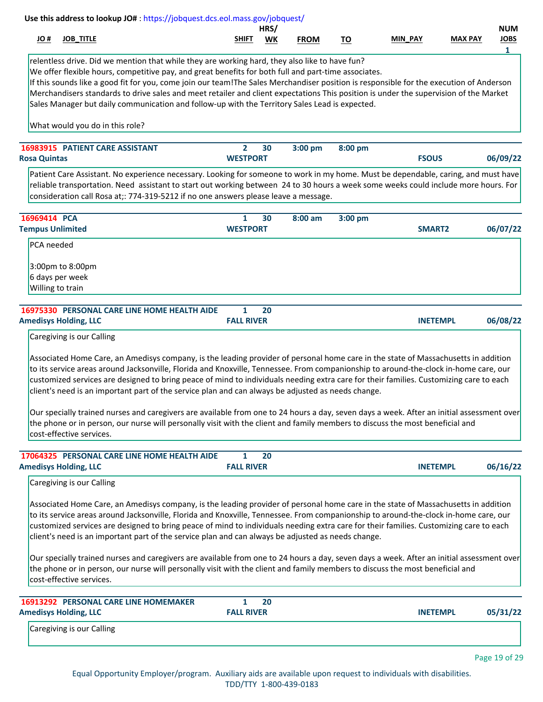### **JO # JOB\_TITLE SHIFT WK MIN\_PAY MAX PAY JOBS HRS/ NUM FROM TO Use this address to lookup JO#** [: https://jobquest.dcs.eol.mass.gov/jobquest/](https://jobquest.dcs.eol.mass.gov/jobquest/)   **1** relentless drive. Did we mention that while they are working hard, they also like to have fun? We offer flexible hours, competitive pay, and great benefits for both full and part-time associates. If this sounds like a good fit for you, come join our team!The Sales Merchandiser position is responsible for the execution of Anderson

Merchandisers standards to drive sales and meet retailer and client expectations This position is under the supervision of the Market Sales Manager but daily communication and follow-up with the Territory Sales Lead is expected.

What would you do in this role?

| <b>16983915 PATIENT CARE ASSISTANT</b> |                 | 30 | $3:00 \text{ pm}$ | 8:00 pm |              |          |
|----------------------------------------|-----------------|----|-------------------|---------|--------------|----------|
| <b>Rosa Quintas</b>                    | <b>WESTPORT</b> |    |                   |         | <b>FSOUS</b> | 06/09/22 |

Patient Care Assistant. No experience necessary. Looking for someone to work in my home. Must be dependable, caring, and must have reliable transportation. Need assistant to start out working between 24 to 30 hours a week some weeks could include more hours. For consideration call Rosa at;: 774-319-5212 if no one answers please leave a message.

| 16969414 PCA            | 30<br>1<br><b>WESTPORT</b> | $8:00$ am | $3:00$ pm | SMART <sub>2</sub> | 06/07/22 |
|-------------------------|----------------------------|-----------|-----------|--------------------|----------|
| <b>Tempus Unlimited</b> |                            |           |           |                    |          |
| <b>PCA</b> needed       |                            |           |           |                    |          |
| 3:00pm to 8:00pm        |                            |           |           |                    |          |
| $6$ days per week       |                            |           |           |                    |          |
| Willing to train        |                            |           |           |                    |          |

| <b>16975330 PERSONAL CARE LINE HOME HEALTH AIDE</b> |                   | 20 |                 |          |
|-----------------------------------------------------|-------------------|----|-----------------|----------|
| <b>Amedisys Holding, LLC</b>                        | <b>FALL RIVER</b> |    | <b>INETEMPL</b> | 06/08/22 |
|                                                     |                   |    |                 |          |

Caregiving is our Calling

Associated Home Care, an Amedisys company, is the leading provider of personal home care in the state of Massachusetts in addition to its service areas around Jacksonville, Florida and Knoxville, Tennessee. From companionship to around-the-clock in-home care, our customized services are designed to bring peace of mind to individuals needing extra care for their families. Customizing care to each client's need is an important part of the service plan and can always be adjusted as needs change.

Our specially trained nurses and caregivers are available from one to 24 hours a day, seven days a week. After an initial assessment over the phone or in person, our nurse will personally visit with the client and family members to discuss the most beneficial and cost-effective services.

| 17064325 PERSONAL CARE LINE HOME HEALTH AIDE |                   |  |                 |          |
|----------------------------------------------|-------------------|--|-----------------|----------|
| <b>Amedisys Holding, LLC</b>                 | <b>FALL RIVER</b> |  | <b>INETEMPL</b> | 06/16/22 |

Caregiving is our Calling

Associated Home Care, an Amedisys company, is the leading provider of personal home care in the state of Massachusetts in addition to its service areas around Jacksonville, Florida and Knoxville, Tennessee. From companionship to around-the-clock in-home care, our customized services are designed to bring peace of mind to individuals needing extra care for their families. Customizing care to each client's need is an important part of the service plan and can always be adjusted as needs change.

Our specially trained nurses and caregivers are available from one to 24 hours a day, seven days a week. After an initial assessment over the phone or in person, our nurse will personally visit with the client and family members to discuss the most beneficial and cost-effective services.

| <b>16913292 PERSONAL CARE LINE HOMEMAKER</b><br><b>Amedisys Holding, LLC</b> | 20<br><b>FALL RIVER</b> | <b>INETEMPL</b> | 05/31/22 |
|------------------------------------------------------------------------------|-------------------------|-----------------|----------|
| Caregiving is our Calling                                                    |                         |                 |          |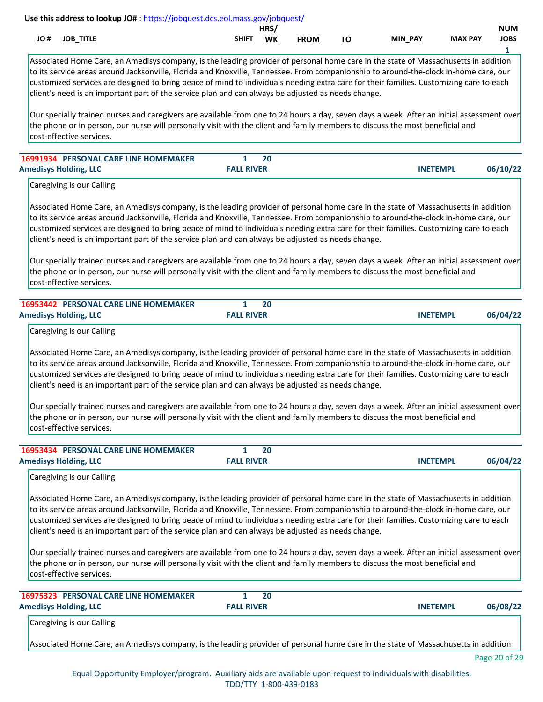|      |             |                                                     | HRS,      |             |                    |                   |                | <b>NUM</b>  |
|------|-------------|-----------------------------------------------------|-----------|-------------|--------------------|-------------------|----------------|-------------|
| JU # | JOB<br>,,,, | <b>SHIFT</b><br>the contract of the contract of the | <b>WK</b> | <b>FROM</b> | ÷0<br>''<br>$\sim$ | <b>PAY</b><br>MIN | <b>MAX PAY</b> | <b>JOBS</b> |
|      |             |                                                     |           |             |                    |                   |                |             |

Associated Home Care, an Amedisys company, is the leading provider of personal home care in the state of Massachusetts in addition to its service areas around Jacksonville, Florida and Knoxville, Tennessee. From companionship to around-the-clock in-home care, our customized services are designed to bring peace of mind to individuals needing extra care for their families. Customizing care to each client's need is an important part of the service plan and can always be adjusted as needs change.

Our specially trained nurses and caregivers are available from one to 24 hours a day, seven days a week. After an initial assessment over the phone or in person, our nurse will personally visit with the client and family members to discuss the most beneficial and cost-effective services.

| <b>Amedisys Holding, LLC</b> | <b>FALL RIVER</b> | 06/10/22<br><b>INETEMPL</b> |
|------------------------------|-------------------|-----------------------------|

Caregiving is our Calling

Associated Home Care, an Amedisys company, is the leading provider of personal home care in the state of Massachusetts in addition to its service areas around Jacksonville, Florida and Knoxville, Tennessee. From companionship to around-the-clock in-home care, our customized services are designed to bring peace of mind to individuals needing extra care for their families. Customizing care to each client's need is an important part of the service plan and can always be adjusted as needs change.

Our specially trained nurses and caregivers are available from one to 24 hours a day, seven days a week. After an initial assessment over the phone or in person, our nurse will personally visit with the client and family members to discuss the most beneficial and cost-effective services.

| <b>16953442 PERSONAL CARE LINE HOMEMAKER</b> | 20                |                 |          |
|----------------------------------------------|-------------------|-----------------|----------|
| <b>Amedisys Holding, LLC</b>                 | <b>FALL RIVER</b> | <b>INETEMPL</b> | 06/04/22 |
|                                              |                   |                 |          |

Caregiving is our Calling

Associated Home Care, an Amedisys company, is the leading provider of personal home care in the state of Massachusetts in addition to its service areas around Jacksonville, Florida and Knoxville, Tennessee. From companionship to around-the-clock in-home care, our customized services are designed to bring peace of mind to individuals needing extra care for their families. Customizing care to each client's need is an important part of the service plan and can always be adjusted as needs change.

Our specially trained nurses and caregivers are available from one to 24 hours a day, seven days a week. After an initial assessment over the phone or in person, our nurse will personally visit with the client and family members to discuss the most beneficial and cost-effective services.

| <b>16953434 PERSONAL CARE LINE HOMEMAKER</b> | 20                |                             |
|----------------------------------------------|-------------------|-----------------------------|
| <b>Amedisys Holding, LLC</b>                 | <b>FALL RIVER</b> | 06/04/22<br><b>INETEMPL</b> |

Caregiving is our Calling

Associated Home Care, an Amedisys company, is the leading provider of personal home care in the state of Massachusetts in addition to its service areas around Jacksonville, Florida and Knoxville, Tennessee. From companionship to around-the-clock in-home care, our customized services are designed to bring peace of mind to individuals needing extra care for their families. Customizing care to each client's need is an important part of the service plan and can always be adjusted as needs change.

Our specially trained nurses and caregivers are available from one to 24 hours a day, seven days a week. After an initial assessment over the phone or in person, our nurse will personally visit with the client and family members to discuss the most beneficial and cost-effective services.

| 16975323 PERSONAL CARE LINE HOMEMAKER<br><b>Amedisys Holding, LLC</b>                                                              | 20<br><b>FALL RIVER</b> | <b>INETEMPL</b> | 06/08/22 |
|------------------------------------------------------------------------------------------------------------------------------------|-------------------------|-----------------|----------|
| Caregiving is our Calling                                                                                                          |                         |                 |          |
| Associated Home Care, an Amedisys company, is the leading provider of personal home care in the state of Massachusetts in addition |                         |                 |          |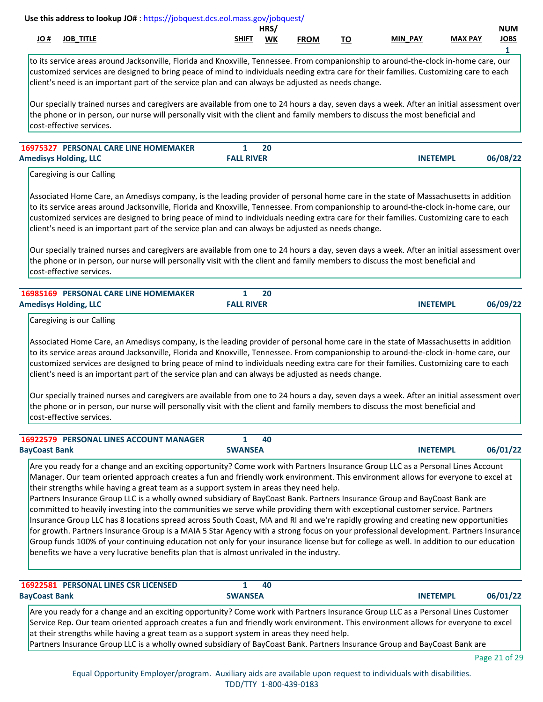|     |                     |                         | HRS,      |             |                   |                   |                | <b>NUM</b>    |
|-----|---------------------|-------------------------|-----------|-------------|-------------------|-------------------|----------------|---------------|
| JO# | <b>TITLE</b><br>JOB | <b>SHIFT</b><br>_______ | <b>WK</b> | <b>FROM</b> | --<br>''<br>_____ | <b>PAY</b><br>MIN | <b>MAX PAY</b> | JOBS<br>_____ |
|     |                     |                         |           |             |                   |                   |                |               |

to its service areas around Jacksonville, Florida and Knoxville, Tennessee. From companionship to around-the-clock in-home care, our customized services are designed to bring peace of mind to individuals needing extra care for their families. Customizing care to each client's need is an important part of the service plan and can always be adjusted as needs change.

Our specially trained nurses and caregivers are available from one to 24 hours a day, seven days a week. After an initial assessment over the phone or in person, our nurse will personally visit with the client and family members to discuss the most beneficial and cost-effective services.

| <b>16975327 PERSONAL CARE LINE HOMEMAKER</b> | 20                |                             |
|----------------------------------------------|-------------------|-----------------------------|
| <b>Amedisys Holding, LLC</b>                 | <b>FALL RIVER</b> | 06/08/22<br><b>INETEMPL</b> |

Caregiving is our Calling

Associated Home Care, an Amedisys company, is the leading provider of personal home care in the state of Massachusetts in addition to its service areas around Jacksonville, Florida and Knoxville, Tennessee. From companionship to around-the-clock in-home care, our customized services are designed to bring peace of mind to individuals needing extra care for their families. Customizing care to each client's need is an important part of the service plan and can always be adjusted as needs change.

Our specially trained nurses and caregivers are available from one to 24 hours a day, seven days a week. After an initial assessment over the phone or in person, our nurse will personally visit with the client and family members to discuss the most beneficial and cost-effective services.

| <b>16985169 PERSONAL CARE LINE HOMEMAKER</b> | 20                |                             |
|----------------------------------------------|-------------------|-----------------------------|
| <b>Amedisys Holding, LLC</b>                 | <b>FALL RIVER</b> | 06/09/22<br><b>INETEMPI</b> |

Caregiving is our Calling

Associated Home Care, an Amedisys company, is the leading provider of personal home care in the state of Massachusetts in addition to its service areas around Jacksonville, Florida and Knoxville, Tennessee. From companionship to around-the-clock in-home care, our customized services are designed to bring peace of mind to individuals needing extra care for their families. Customizing care to each client's need is an important part of the service plan and can always be adjusted as needs change.

Our specially trained nurses and caregivers are available from one to 24 hours a day, seven days a week. After an initial assessment over the phone or in person, our nurse will personally visit with the client and family members to discuss the most beneficial and cost-effective services.

| <b>16922579 PERSONAL LINES ACCOUNT MANAGER</b>                                                                                                                                                                                                                       |                | -40 |                 |          |
|----------------------------------------------------------------------------------------------------------------------------------------------------------------------------------------------------------------------------------------------------------------------|----------------|-----|-----------------|----------|
| <b>BayCoast Bank</b>                                                                                                                                                                                                                                                 | <b>SWANSEA</b> |     | <b>INETEMPL</b> | 06/01/22 |
| Are you ready for a change and an exciting opportunity? Come work with Partners Insurance Group LLC as a Personal Lines Account<br>Manager. Our team oriented approach creates a fun and friendly work environment. This environment allows for everyone to excel at |                |     |                 |          |
| their strengths while having a great team as a support system in areas they need help.                                                                                                                                                                               |                |     |                 |          |

Partners Insurance Group LLC is a wholly owned subsidiary of BayCoast Bank. Partners Insurance Group and BayCoast Bank are committed to heavily investing into the communities we serve while providing them with exceptional customer service. Partners Insurance Group LLC has 8 locations spread across South Coast, MA and RI and we're rapidly growing and creating new opportunities for growth. Partners Insurance Group is a MAIA 5 Star Agency with a strong focus on your professional development. Partners Insurance Group funds 100% of your continuing education not only for your insurance license but for college as well. In addition to our education benefits we have a very lucrative benefits plan that is almost unrivaled in the industry.

| <b>16922581 PERSONAL LINES CSR LICENSED</b>                                                                                        | 40             |                 |          |
|------------------------------------------------------------------------------------------------------------------------------------|----------------|-----------------|----------|
| <b>BayCoast Bank</b>                                                                                                               | <b>SWANSEA</b> | <b>INETEMPL</b> | 06/01/22 |
| Are you ready for a change and an exciting opportunity? Come work with Partners Insurance Group LLC as a Personal Lines Customer   |                |                 |          |
| Service Rep. Our team oriented approach creates a fun and friendly work environment. This environment allows for everyone to excel |                |                 |          |
| at their strengths while having a great team as a support system in areas they need help.                                          |                |                 |          |
| Partners Insurance Group LLC is a wholly owned subsidiary of BayCoast Bank. Partners Insurance Group and BayCoast Bank are         |                |                 |          |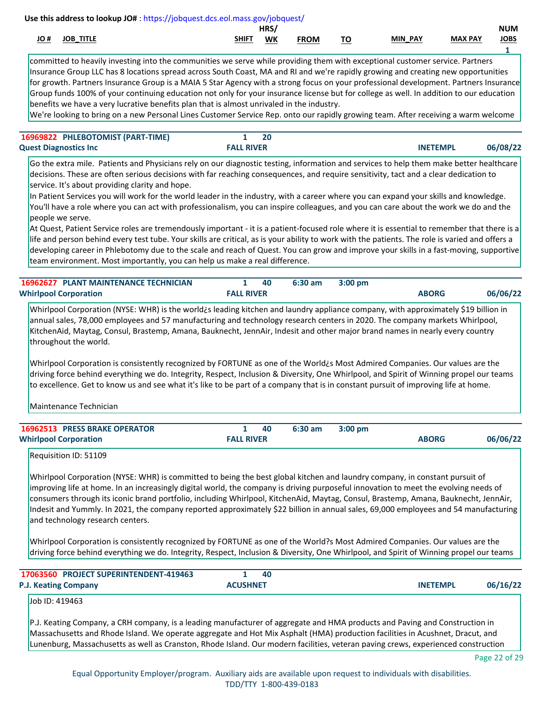|     |                     |                        | <b>HRS</b> |             |                         |                   |                | <b>NUM</b>  |
|-----|---------------------|------------------------|------------|-------------|-------------------------|-------------------|----------------|-------------|
| JO# | <b>TITLE</b><br>JOB | <b>SHIFT</b><br>______ | <b>WK</b>  | <b>FROM</b> | $-$<br>$\cdot$<br>_____ | <b>PAY</b><br>MIN | <b>MAX PAY</b> | <b>JOBS</b> |
|     |                     |                        |            |             |                         |                   |                |             |

committed to heavily investing into the communities we serve while providing them with exceptional customer service. Partners Insurance Group LLC has 8 locations spread across South Coast, MA and RI and we're rapidly growing and creating new opportunities for growth. Partners Insurance Group is a MAIA 5 Star Agency with a strong focus on your professional development. Partners Insurance Group funds 100% of your continuing education not only for your insurance license but for college as well. In addition to our education benefits we have a very lucrative benefits plan that is almost unrivaled in the industry.

We're looking to bring on a new Personal Lines Customer Service Rep. onto our rapidly growing team. After receiving a warm welcome

| 16969822 PHLEBOTOMIST (PART-TIME) | 20                |                             |
|-----------------------------------|-------------------|-----------------------------|
| <b>Quest Diagnostics Inc</b>      | <b>FALL RIVER</b> | 06/08/22<br><b>INETEMPL</b> |

Go the extra mile. Patients and Physicians rely on our diagnostic testing, information and services to help them make better healthcare decisions. These are often serious decisions with far reaching consequences, and require sensitivity, tact and a clear dedication to service. It's about providing clarity and hope.

In Patient Services you will work for the world leader in the industry, with a career where you can expand your skills and knowledge. You'll have a role where you can act with professionalism, you can inspire colleagues, and you can care about the work we do and the people we serve.

At Quest, Patient Service roles are tremendously important - it is a patient-focused role where it is essential to remember that there is a life and person behind every test tube. Your skills are critical, as is your ability to work with the patients. The role is varied and offers a developing career in Phlebotomy due to the scale and reach of Quest. You can grow and improve your skills in a fast-moving, supportive team environment. Most importantly, you can help us make a real difference.

| <b>16962627 PLANT MAINTENANCE TECHNICIAN</b> |                   | 40 | $6:30$ am | $3:00 \text{ pm}$ |              |          |
|----------------------------------------------|-------------------|----|-----------|-------------------|--------------|----------|
| <b>Whirlpool Corporation</b>                 | <b>FALL RIVER</b> |    |           |                   | <b>ABORG</b> | 06/06/22 |

Whirlpool Corporation (NYSE: WHR) is the world¿s leading kitchen and laundry appliance company, with approximately \$19 billion in annual sales, 78,000 employees and 57 manufacturing and technology research centers in 2020. The company markets Whirlpool, KitchenAid, Maytag, Consul, Brastemp, Amana, Bauknecht, JennAir, Indesit and other major brand names in nearly every country throughout the world.

Whirlpool Corporation is consistently recognized by FORTUNE as one of the World¿s Most Admired Companies. Our values are the driving force behind everything we do. Integrity, Respect, Inclusion & Diversity, One Whirlpool, and Spirit of Winning propel our teams to excellence. Get to know us and see what it's like to be part of a company that is in constant pursuit of improving life at home.

Maintenance Technician

| <b>16962513 PRESS BRAKE OPERATOR</b> |                   | 40 | 6:30 am | $3:00~\mathrm{nm}$ |              |          |
|--------------------------------------|-------------------|----|---------|--------------------|--------------|----------|
| <b>Whirlpool Corporation</b>         | <b>FALL RIVER</b> |    |         |                    | <b>ABORG</b> | 06/06/22 |

Requisition ID: 51109

Whirlpool Corporation (NYSE: WHR) is committed to being the best global kitchen and laundry company, in constant pursuit of improving life at home. In an increasingly digital world, the company is driving purposeful innovation to meet the evolving needs of consumers through its iconic brand portfolio, including Whirlpool, KitchenAid, Maytag, Consul, Brastemp, Amana, Bauknecht, JennAir, Indesit and Yummly. In 2021, the company reported approximately \$22 billion in annual sales, 69,000 employees and 54 manufacturing and technology research centers.

Whirlpool Corporation is consistently recognized by FORTUNE as one of the World?s Most Admired Companies. Our values are the driving force behind everything we do. Integrity, Respect, Inclusion & Diversity, One Whirlpool, and Spirit of Winning propel our teams

| <b>PROJECT SUPERINTENDENT-419463</b><br>17063560 | 40            |                 |          |
|--------------------------------------------------|---------------|-----------------|----------|
| <b>P.J. Keating Company</b>                      | <b>USHNET</b> | <b>INETEMPI</b> | 06/16/22 |
|                                                  |               |                 |          |

Job ID: 419463

P.J. Keating Company, a CRH company, is a leading manufacturer of aggregate and HMA products and Paving and Construction in Massachusetts and Rhode Island. We operate aggregate and Hot Mix Asphalt (HMA) production facilities in Acushnet, Dracut, and Lunenburg, Massachusetts as well as Cranston, Rhode Island. Our modern facilities, veteran paving crews, experienced construction

Page 22 of 29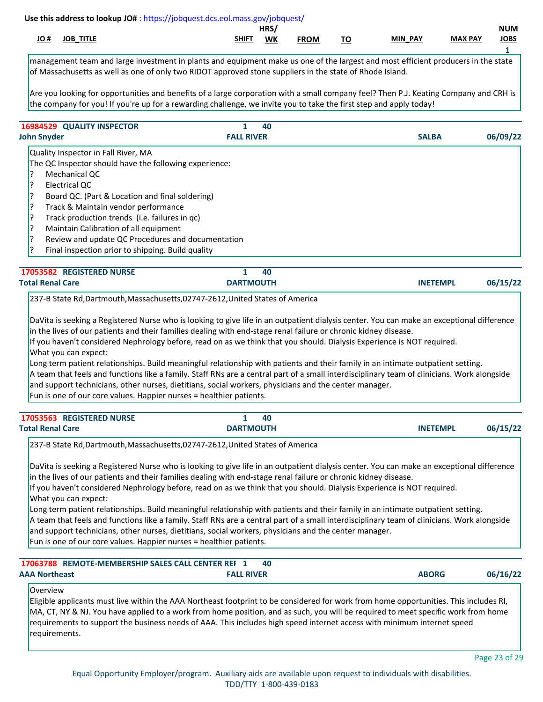|     |                     |                         | HRS,      |             |                     |                   |                | <b>NUM</b>    |
|-----|---------------------|-------------------------|-----------|-------------|---------------------|-------------------|----------------|---------------|
| JO# | <b>TITLE</b><br>JOB | <b>SHIFT</b><br>_______ | <b>WK</b> | <b>FROM</b> | $-$<br>. v<br>_____ | <b>PAY</b><br>MIN | <b>MAX PAY</b> | JOBS<br>_____ |
|     |                     |                         |           |             |                     |                   |                |               |

management team and large investment in plants and equipment make us one of the largest and most efficient producers in the state of Massachusetts as well as one of only two RIDOT approved stone suppliers in the state of Rhode Island.

Are you looking for opportunities and benefits of a large corporation with a small company feel? Then P.J. Keating Company and CRH is the company for you! If you're up for a rewarding challenge, we invite you to take the first step and apply today!

| 16984529 QUALITY INSPECTOR                                                                                                                                                                                                                                                                                                                                                                                                                                                                                                                                                                                                                                                                                                                                                                                                                                                                                                                                                                                                | 1<br>40            |                 |          |
|---------------------------------------------------------------------------------------------------------------------------------------------------------------------------------------------------------------------------------------------------------------------------------------------------------------------------------------------------------------------------------------------------------------------------------------------------------------------------------------------------------------------------------------------------------------------------------------------------------------------------------------------------------------------------------------------------------------------------------------------------------------------------------------------------------------------------------------------------------------------------------------------------------------------------------------------------------------------------------------------------------------------------|--------------------|-----------------|----------|
| <b>John Snyder</b>                                                                                                                                                                                                                                                                                                                                                                                                                                                                                                                                                                                                                                                                                                                                                                                                                                                                                                                                                                                                        | <b>FALL RIVER</b>  | <b>SALBA</b>    | 06/09/22 |
| Quality Inspector in Fall River, MA<br>The QC Inspector should have the following experience:<br>13<br>Mechanical QC<br>ļ?<br><b>Electrical QC</b><br>ļ?<br>Board QC. (Part & Location and final soldering)<br>?<br>Track & Maintain vendor performance<br>?<br>Track production trends (i.e. failures in qc)<br>?<br>Maintain Calibration of all equipment<br>?<br>Review and update QC Procedures and documentation<br>P.<br>Final inspection prior to shipping. Build quality                                                                                                                                                                                                                                                                                                                                                                                                                                                                                                                                          |                    |                 |          |
|                                                                                                                                                                                                                                                                                                                                                                                                                                                                                                                                                                                                                                                                                                                                                                                                                                                                                                                                                                                                                           |                    |                 |          |
| 17053582 REGISTERED NURSE                                                                                                                                                                                                                                                                                                                                                                                                                                                                                                                                                                                                                                                                                                                                                                                                                                                                                                                                                                                                 | $\mathbf{1}$<br>40 |                 |          |
| <b>Total Renal Care</b>                                                                                                                                                                                                                                                                                                                                                                                                                                                                                                                                                                                                                                                                                                                                                                                                                                                                                                                                                                                                   | <b>DARTMOUTH</b>   | <b>INETEMPL</b> | 06/15/22 |
| DaVita is seeking a Registered Nurse who is looking to give life in an outpatient dialysis center. You can make an exceptional difference<br>in the lives of our patients and their families dealing with end-stage renal failure or chronic kidney disease.<br>If you haven't considered Nephrology before, read on as we think that you should. Dialysis Experience is NOT required.<br>What you can expect:<br>Long term patient relationships. Build meaningful relationship with patients and their family in an intimate outpatient setting.<br>A team that feels and functions like a family. Staff RNs are a central part of a small interdisciplinary team of clinicians. Work alongside<br>and support technicians, other nurses, dietitians, social workers, physicians and the center manager.<br>Fun is one of our core values. Happier nurses = healthier patients.                                                                                                                                         |                    |                 |          |
| 17053563 REGISTERED NURSE                                                                                                                                                                                                                                                                                                                                                                                                                                                                                                                                                                                                                                                                                                                                                                                                                                                                                                                                                                                                 | $\mathbf{1}$<br>40 |                 |          |
| <b>Total Renal Care</b>                                                                                                                                                                                                                                                                                                                                                                                                                                                                                                                                                                                                                                                                                                                                                                                                                                                                                                                                                                                                   | <b>DARTMOUTH</b>   | <b>INETEMPL</b> | 06/15/22 |
| 237-B State Rd, Dartmouth, Massachusetts, 02747-2612, United States of America<br>DaVita is seeking a Registered Nurse who is looking to give life in an outpatient dialysis center. You can make an exceptional difference<br>in the lives of our patients and their families dealing with end-stage renal failure or chronic kidney disease.<br>If you haven't considered Nephrology before, read on as we think that you should. Dialysis Experience is NOT required.<br>What you can expect:<br>Long term patient relationships. Build meaningful relationship with patients and their family in an intimate outpatient setting.<br>A team that feels and functions like a family. Staff RNs are a central part of a small interdisciplinary team of clinicians. Work alongside<br>and support technicians, other nurses, dietitians, social workers, physicians and the center manager.<br>Fun is one of our core values. Happier nurses = healthier patients.<br>17063788 REMOTE-MEMBERSHIP SALES CALL CENTER REF 1 | 40                 |                 |          |
| <b>AAA Northeast</b>                                                                                                                                                                                                                                                                                                                                                                                                                                                                                                                                                                                                                                                                                                                                                                                                                                                                                                                                                                                                      | <b>FALL RIVER</b>  | <b>ABORG</b>    | 06/16/22 |

Overview

Eligible applicants must live within the AAA Northeast footprint to be considered for work from home opportunities. This includes RI, MA, CT, NY & NJ. You have applied to a work from home position, and as such, you will be required to meet specific work from home requirements to support the business needs of AAA. This includes high speed internet access with minimum internet speed requirements.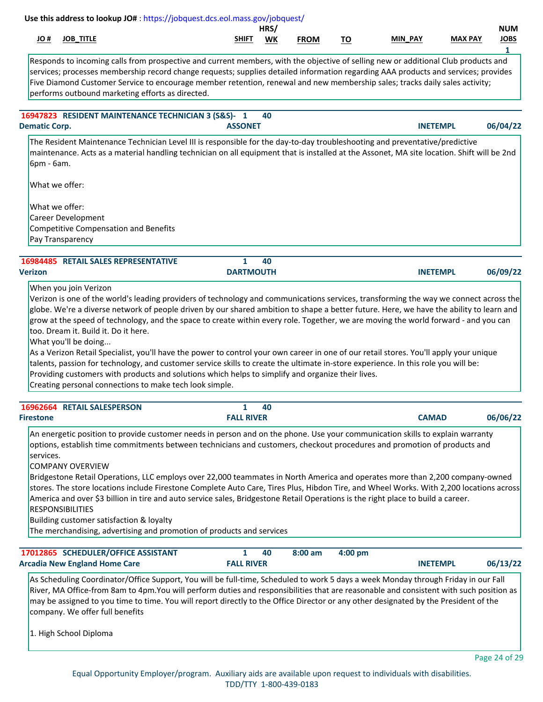|                      |                                                                                                                 | Use this address to lookup JO#: https://jobquest.dcs.eol.mass.gov/jobquest/                                                                                                                                                                                                                                                                                                                                                                                                                                                                                                                                                                                                                                                                       |                                  | HRS/ |             |           |                 |                | <b>NUM</b>    |
|----------------------|-----------------------------------------------------------------------------------------------------------------|---------------------------------------------------------------------------------------------------------------------------------------------------------------------------------------------------------------------------------------------------------------------------------------------------------------------------------------------------------------------------------------------------------------------------------------------------------------------------------------------------------------------------------------------------------------------------------------------------------------------------------------------------------------------------------------------------------------------------------------------------|----------------------------------|------|-------------|-----------|-----------------|----------------|---------------|
| # JO                 | <b>JOB_TITLE</b>                                                                                                |                                                                                                                                                                                                                                                                                                                                                                                                                                                                                                                                                                                                                                                                                                                                                   | <b>SHIFT</b>                     | WK   | <b>FROM</b> | <u>TO</u> | <b>MIN PAY</b>  | <b>MAX PAY</b> | <b>JOBS</b>   |
|                      | performs outbound marketing efforts as directed.                                                                | Responds to incoming calls from prospective and current members, with the objective of selling new or additional Club products and<br>services; processes membership record change requests; supplies detailed information regarding AAA products and services; provides<br>Five Diamond Customer Service to encourage member retention, renewal and new membership sales; tracks daily sales activity;                                                                                                                                                                                                                                                                                                                                           |                                  |      |             |           |                 |                | 1             |
| <b>Dematic Corp.</b> |                                                                                                                 | 16947823 RESIDENT MAINTENANCE TECHNICIAN 3 (S&S)-1                                                                                                                                                                                                                                                                                                                                                                                                                                                                                                                                                                                                                                                                                                | <b>ASSONET</b>                   | 40   |             |           | <b>INETEMPL</b> |                | 06/04/22      |
| 6pm - 6am.           |                                                                                                                 | The Resident Maintenance Technician Level III is responsible for the day-to-day troubleshooting and preventative/predictive<br>maintenance. Acts as a material handling technician on all equipment that is installed at the Assonet, MA site location. Shift will be 2nd                                                                                                                                                                                                                                                                                                                                                                                                                                                                         |                                  |      |             |           |                 |                |               |
|                      | What we offer:                                                                                                  |                                                                                                                                                                                                                                                                                                                                                                                                                                                                                                                                                                                                                                                                                                                                                   |                                  |      |             |           |                 |                |               |
|                      | What we offer:<br><b>Career Development</b><br><b>Competitive Compensation and Benefits</b><br>Pay Transparency |                                                                                                                                                                                                                                                                                                                                                                                                                                                                                                                                                                                                                                                                                                                                                   |                                  |      |             |           |                 |                |               |
| <b>Verizon</b>       | <b>16984485 RETAIL SALES REPRESENTATIVE</b>                                                                     |                                                                                                                                                                                                                                                                                                                                                                                                                                                                                                                                                                                                                                                                                                                                                   | $\mathbf{1}$<br><b>DARTMOUTH</b> | 40   |             |           | <b>INETEMPL</b> |                | 06/09/22      |
|                      | too. Dream it. Build it. Do it here.<br>What you'll be doing                                                    | grow at the speed of technology, and the space to create within every role. Together, we are moving the world forward - and you can<br>As a Verizon Retail Specialist, you'll have the power to control your own career in one of our retail stores. You'll apply your unique<br>talents, passion for technology, and customer service skills to create the ultimate in-store experience. In this role you will be:<br>Providing customers with products and solutions which helps to simplify and organize their lives.<br>Creating personal connections to make tech look simple.                                                                                                                                                               |                                  |      |             |           |                 |                |               |
|                      | 16962664 RETAIL SALESPERSON                                                                                     |                                                                                                                                                                                                                                                                                                                                                                                                                                                                                                                                                                                                                                                                                                                                                   |                                  | 40   |             |           |                 |                |               |
| <b>Firestone</b>     |                                                                                                                 |                                                                                                                                                                                                                                                                                                                                                                                                                                                                                                                                                                                                                                                                                                                                                   | <b>FALL RIVER</b>                |      |             |           | <b>CAMAD</b>    |                | 06/06/22      |
| services.            | <b>COMPANY OVERVIEW</b><br><b>RESPONSIBILITIES</b><br>Building customer satisfaction & loyalty                  | An energetic position to provide customer needs in person and on the phone. Use your communication skills to explain warranty<br>options, establish time commitments between technicians and customers, checkout procedures and promotion of products and<br>Bridgestone Retail Operations, LLC employs over 22,000 teammates in North America and operates more than 2,200 company-owned<br>stores. The store locations include Firestone Complete Auto Care, Tires Plus, Hibdon Tire, and Wheel Works. With 2,200 locations across<br>America and over \$3 billion in tire and auto service sales, Bridgestone Retail Operations is the right place to build a career.<br>The merchandising, advertising and promotion of products and services |                                  |      |             |           |                 |                |               |
|                      | 17012865 SCHEDULER/OFFICE ASSISTANT                                                                             |                                                                                                                                                                                                                                                                                                                                                                                                                                                                                                                                                                                                                                                                                                                                                   | 1                                | 40   | 8:00 am     | 4:00 pm   |                 |                |               |
|                      | <b>Arcadia New England Home Care</b><br>company. We offer full benefits<br>1. High School Diploma               | As Scheduling Coordinator/Office Support, You will be full-time, Scheduled to work 5 days a week Monday through Friday in our Fall<br>River, MA Office-from 8am to 4pm.You will perform duties and responsibilities that are reasonable and consistent with such position as<br>may be assigned to you time to time. You will report directly to the Office Director or any other designated by the President of the                                                                                                                                                                                                                                                                                                                              | <b>FALL RIVER</b>                |      |             |           | <b>INETEMPL</b> |                | 06/13/22      |
|                      |                                                                                                                 |                                                                                                                                                                                                                                                                                                                                                                                                                                                                                                                                                                                                                                                                                                                                                   |                                  |      |             |           |                 |                |               |
|                      |                                                                                                                 |                                                                                                                                                                                                                                                                                                                                                                                                                                                                                                                                                                                                                                                                                                                                                   |                                  |      |             |           |                 |                | Page 24 of 29 |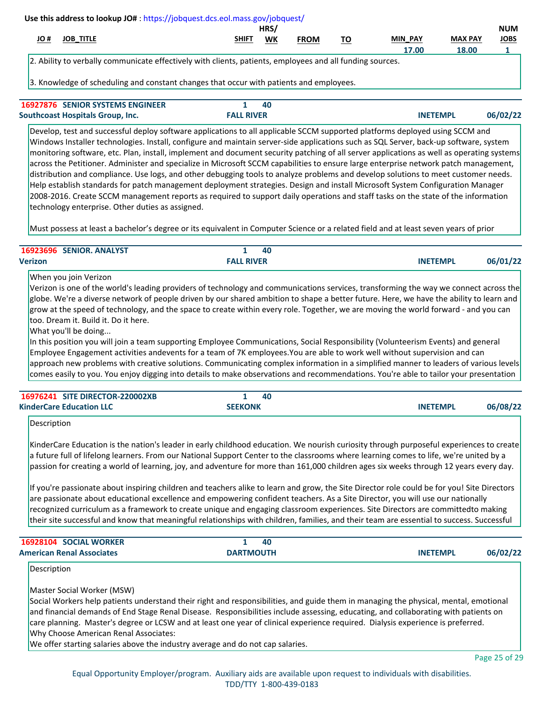| Use this address to lookup JO#: https://jobquest.dcs.eol.mass.gov/jobquest/                                                                                                                          |                   |                          |    |                 |                |             |
|------------------------------------------------------------------------------------------------------------------------------------------------------------------------------------------------------|-------------------|--------------------------|----|-----------------|----------------|-------------|
|                                                                                                                                                                                                      |                   | HRS/                     |    |                 |                | <b>NUM</b>  |
| # JO<br><b>JOB TITLE</b>                                                                                                                                                                             | <b>SHIFT</b>      | <b>WK</b><br><b>FROM</b> | то | <b>MIN PAY</b>  | <b>MAX PAY</b> | <b>JOBS</b> |
|                                                                                                                                                                                                      |                   |                          |    | 17.00           | 18.00          |             |
| 2. Ability to verbally communicate effectively with clients, patients, employees and all funding sources.<br>3. Knowledge of scheduling and constant changes that occur with patients and employees. |                   |                          |    |                 |                |             |
| <b>16927876 SENIOR SYSTEMS ENGINEER</b>                                                                                                                                                              |                   | 40                       |    |                 |                |             |
| Southcoast Hospitals Group, Inc.                                                                                                                                                                     | <b>FALL RIVER</b> |                          |    | <b>INETEMPL</b> |                | 06/02/22    |

Develop, test and successful deploy software applications to all applicable SCCM supported platforms deployed using SCCM and Windows Installer technologies. Install, configure and maintain server-side applications such as SQL Server, back-up software, system monitoring software, etc. Plan, install, implement and document security patching of all server applications as well as operating systems across the Petitioner. Administer and specialize in Microsoft SCCM capabilities to ensure large enterprise network patch management, distribution and compliance. Use logs, and other debugging tools to analyze problems and develop solutions to meet customer needs. Help establish standards for patch management deployment strategies. Design and install Microsoft System Configuration Manager 2008-2016. Create SCCM management reports as required to support daily operations and staff tasks on the state of the information technology enterprise. Other duties as assigned.

Must possess at least a bachelor's degree or its equivalent in Computer Science or a related field and at least seven years of prior

| 16923696 SENIOR. ANALYST | 40                |                 |          |
|--------------------------|-------------------|-----------------|----------|
| <b>Verizon</b>           | <b>FALL RIVER</b> | <b>INETEMPL</b> | 06/01/22 |

When you join Verizon

Verizon is one of the world's leading providers of technology and communications services, transforming the way we connect across the globe. We're a diverse network of people driven by our shared ambition to shape a better future. Here, we have the ability to learn and grow at the speed of technology, and the space to create within every role. Together, we are moving the world forward - and you can too. Dream it. Build it. Do it here.

What you'll be doing...

In this position you will join a team supporting Employee Communications, Social Responsibility (Volunteerism Events) and general Employee Engagement activities andevents for a team of 7K employees.You are able to work well without supervision and can approach new problems with creative solutions. Communicating complex information in a simplified manner to leaders of various levels comes easily to you. You enjoy digging into details to make observations and recommendations. You're able to tailor your presentation

| <b>16976241 SITE DIRECTOR-220002XB</b> | 40             |                             |  |
|----------------------------------------|----------------|-----------------------------|--|
| <b>KinderCare Education LLC</b>        | <b>SEEKONK</b> | 06/08/22<br><b>INETEMPL</b> |  |

Description

KinderCare Education is the nation's leader in early childhood education. We nourish curiosity through purposeful experiences to create a future full of lifelong learners. From our National Support Center to the classrooms where learning comes to life, we're united by a passion for creating a world of learning, joy, and adventure for more than 161,000 children ages six weeks through 12 years every day.

If you're passionate about inspiring children and teachers alike to learn and grow, the Site Director role could be for you! Site Directors are passionate about educational excellence and empowering confident teachers. As a Site Director, you will use our nationally recognized curriculum as a framework to create unique and engaging classroom experiences. Site Directors are committedto making their site successful and know that meaningful relationships with children, families, and their team are essential to success. Successful

| <b>16928104 SOCIAL WORKER</b>    |                  | 40 |                 |          |
|----------------------------------|------------------|----|-----------------|----------|
| <b>American Renal Associates</b> | <b>DARTMOUTH</b> |    | <b>INETEMPL</b> | 06/02/22 |

**Description** 

Master Social Worker (MSW)

Social Workers help patients understand their right and responsibilities, and guide them in managing the physical, mental, emotional and financial demands of End Stage Renal Disease. Responsibilities include assessing, educating, and collaborating with patients on care planning. Master's degree or LCSW and at least one year of clinical experience required. Dialysis experience is preferred. Why Choose American Renal Associates:

We offer starting salaries above the industry average and do not cap salaries.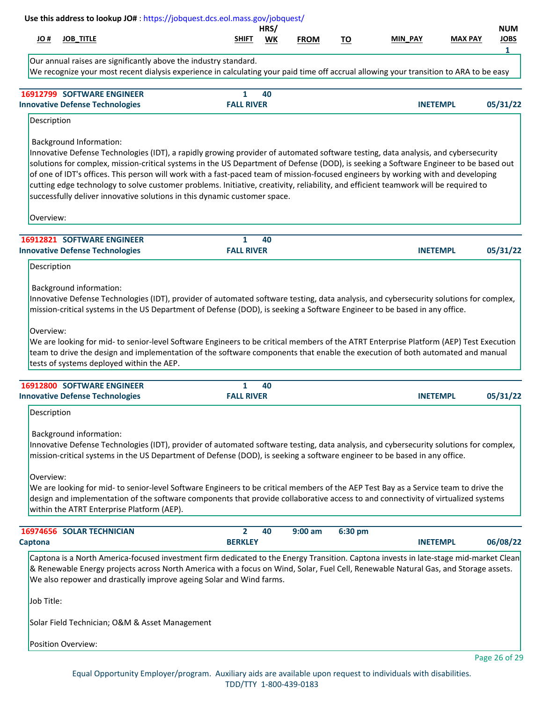|                          |                                                                              | Use this address to lookup JO#: https://jobquest.dcs.eol.mass.gov/jobquest/                                                                                                                                                                                                                                                                                                                                                                                                                                                                                                                                                         |                                   |            |             |           |                 |                |                                |
|--------------------------|------------------------------------------------------------------------------|-------------------------------------------------------------------------------------------------------------------------------------------------------------------------------------------------------------------------------------------------------------------------------------------------------------------------------------------------------------------------------------------------------------------------------------------------------------------------------------------------------------------------------------------------------------------------------------------------------------------------------------|-----------------------------------|------------|-------------|-----------|-----------------|----------------|--------------------------------|
| # OL                     | <b>JOB TITLE</b>                                                             |                                                                                                                                                                                                                                                                                                                                                                                                                                                                                                                                                                                                                                     | <b>SHIFT</b>                      | HRS/<br>WK | <b>FROM</b> | <u>TO</u> | <b>MIN PAY</b>  | <b>MAX PAY</b> | <b>NUM</b><br><b>JOBS</b><br>1 |
|                          |                                                                              | Our annual raises are significantly above the industry standard.<br>We recognize your most recent dialysis experience in calculating your paid time off accrual allowing your transition to ARA to be easy                                                                                                                                                                                                                                                                                                                                                                                                                          |                                   |            |             |           |                 |                |                                |
|                          | 16912799 SOFTWARE ENGINEER                                                   |                                                                                                                                                                                                                                                                                                                                                                                                                                                                                                                                                                                                                                     | 1                                 | 40         |             |           |                 |                |                                |
| Description              | <b>Innovative Defense Technologies</b>                                       |                                                                                                                                                                                                                                                                                                                                                                                                                                                                                                                                                                                                                                     | <b>FALL RIVER</b>                 |            |             |           | <b>INETEMPL</b> |                | 05/31/22                       |
|                          | <b>Background Information:</b>                                               | Innovative Defense Technologies (IDT), a rapidly growing provider of automated software testing, data analysis, and cybersecurity<br>solutions for complex, mission-critical systems in the US Department of Defense (DOD), is seeking a Software Engineer to be based out<br>of one of IDT's offices. This person will work with a fast-paced team of mission-focused engineers by working with and developing<br>cutting edge technology to solve customer problems. Initiative, creativity, reliability, and efficient teamwork will be required to<br>successfully deliver innovative solutions in this dynamic customer space. |                                   |            |             |           |                 |                |                                |
| Overview:                |                                                                              |                                                                                                                                                                                                                                                                                                                                                                                                                                                                                                                                                                                                                                     |                                   |            |             |           |                 |                |                                |
|                          | 16912821 SOFTWARE ENGINEER<br><b>Innovative Defense Technologies</b>         |                                                                                                                                                                                                                                                                                                                                                                                                                                                                                                                                                                                                                                     | $\mathbf{1}$<br><b>FALL RIVER</b> | 40         |             |           | <b>INETEMPL</b> |                | 05/31/22                       |
| Overview:                | tests of systems deployed within the AEP.                                    | We are looking for mid- to senior-level Software Engineers to be critical members of the ATRT Enterprise Platform (AEP) Test Execution<br>team to drive the design and implementation of the software components that enable the execution of both automated and manual                                                                                                                                                                                                                                                                                                                                                             |                                   |            |             |           |                 |                |                                |
|                          | 16912800 SOFTWARE ENGINEER<br><b>Innovative Defense Technologies</b>         |                                                                                                                                                                                                                                                                                                                                                                                                                                                                                                                                                                                                                                     | 1<br><b>FALL RIVER</b>            | 40         |             |           | <b>INETEMPL</b> |                | 05/31/22                       |
| Description<br>Overview: | <b>Background information:</b><br>within the ATRT Enterprise Platform (AEP). | Innovative Defense Technologies (IDT), provider of automated software testing, data analysis, and cybersecurity solutions for complex,<br>mission-critical systems in the US Department of Defense (DOD), is seeking a software engineer to be based in any office.<br>We are looking for mid- to senior-level Software Engineers to be critical members of the AEP Test Bay as a Service team to drive the<br>design and implementation of the software components that provide collaborative access to and connectivity of virtualized systems                                                                                    |                                   |            |             |           |                 |                |                                |
| Captona                  | 16974656 SOLAR TECHNICIAN                                                    |                                                                                                                                                                                                                                                                                                                                                                                                                                                                                                                                                                                                                                     | $\overline{2}$<br><b>BERKLEY</b>  | 40         | $9:00$ am   | 6:30 pm   | <b>INETEMPL</b> |                | 06/08/22                       |
| Job Title:               |                                                                              | Captona is a North America-focused investment firm dedicated to the Energy Transition. Captona invests in late-stage mid-market Clean<br>& Renewable Energy projects across North America with a focus on Wind, Solar, Fuel Cell, Renewable Natural Gas, and Storage assets.<br>We also repower and drastically improve ageing Solar and Wind farms.<br>Solar Field Technician; O&M & Asset Management                                                                                                                                                                                                                              |                                   |            |             |           |                 |                |                                |
|                          | Position Overview:                                                           |                                                                                                                                                                                                                                                                                                                                                                                                                                                                                                                                                                                                                                     |                                   |            |             |           |                 |                |                                |
|                          |                                                                              |                                                                                                                                                                                                                                                                                                                                                                                                                                                                                                                                                                                                                                     |                                   |            |             |           |                 |                | Page 26 of 29                  |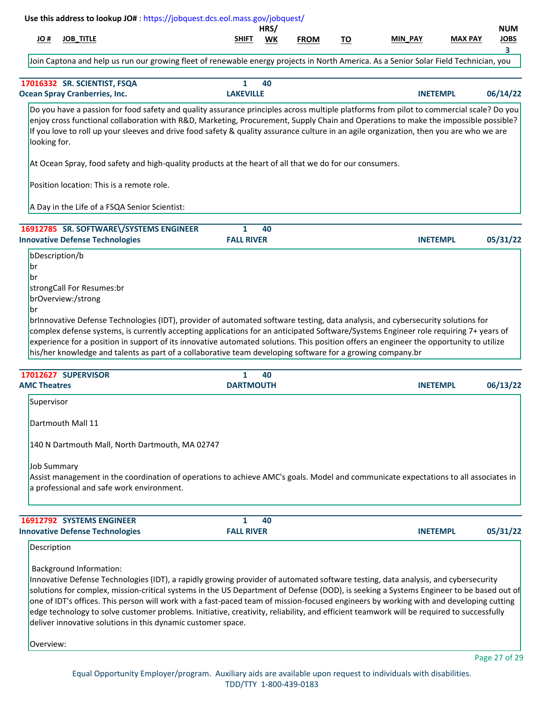| # JO                                  | <b>JOB_TITLE</b>                                                       |                                                                                                            | SHIFT                            | HRS/<br><b>WK</b> | <b>FROM</b> |           | MIN_PAY                                                                                                                                                                                                                                                                                                                                                                                                                                                                                                                                                            | <b>MAX PAY</b>  | <b>NUM</b><br>JOBS |
|---------------------------------------|------------------------------------------------------------------------|------------------------------------------------------------------------------------------------------------|----------------------------------|-------------------|-------------|-----------|--------------------------------------------------------------------------------------------------------------------------------------------------------------------------------------------------------------------------------------------------------------------------------------------------------------------------------------------------------------------------------------------------------------------------------------------------------------------------------------------------------------------------------------------------------------------|-----------------|--------------------|
|                                       |                                                                        |                                                                                                            |                                  |                   |             | <u>TO</u> |                                                                                                                                                                                                                                                                                                                                                                                                                                                                                                                                                                    |                 | 3.                 |
|                                       |                                                                        |                                                                                                            |                                  |                   |             |           | Join Captona and help us run our growing fleet of renewable energy projects in North America. As a Senior Solar Field Technician, you                                                                                                                                                                                                                                                                                                                                                                                                                              |                 |                    |
|                                       | 17016332 SR. SCIENTIST, FSQA                                           |                                                                                                            | 1                                | 40                |             |           |                                                                                                                                                                                                                                                                                                                                                                                                                                                                                                                                                                    |                 |                    |
|                                       | <b>Ocean Spray Cranberries, Inc.</b>                                   |                                                                                                            | <b>LAKEVILLE</b>                 |                   |             |           |                                                                                                                                                                                                                                                                                                                                                                                                                                                                                                                                                                    | <b>INETEMPL</b> | 06/14/22           |
| looking for.                          |                                                                        |                                                                                                            |                                  |                   |             |           | Do you have a passion for food safety and quality assurance principles across multiple platforms from pilot to commercial scale? Do you<br>enjoy cross functional collaboration with R&D, Marketing, Procurement, Supply Chain and Operations to make the impossible possible?<br>If you love to roll up your sleeves and drive food safety & quality assurance culture in an agile organization, then you are who we are                                                                                                                                          |                 |                    |
|                                       |                                                                        | At Ocean Spray, food safety and high-quality products at the heart of all that we do for our consumers.    |                                  |                   |             |           |                                                                                                                                                                                                                                                                                                                                                                                                                                                                                                                                                                    |                 |                    |
|                                       |                                                                        | Position location: This is a remote role.                                                                  |                                  |                   |             |           |                                                                                                                                                                                                                                                                                                                                                                                                                                                                                                                                                                    |                 |                    |
|                                       |                                                                        | A Day in the Life of a FSQA Senior Scientist:                                                              |                                  |                   |             |           |                                                                                                                                                                                                                                                                                                                                                                                                                                                                                                                                                                    |                 |                    |
|                                       | <b>Innovative Defense Technologies</b>                                 | 16912785 SR. SOFTWARE\/SYSTEMS ENGINEER                                                                    | 1                                | 40                |             |           |                                                                                                                                                                                                                                                                                                                                                                                                                                                                                                                                                                    |                 | 05/31/22           |
|                                       | bDescription/b                                                         |                                                                                                            | <b>FALL RIVER</b>                |                   |             |           |                                                                                                                                                                                                                                                                                                                                                                                                                                                                                                                                                                    | <b>INETEMPL</b> |                    |
| br<br>br<br>br<br><b>AMC Theatres</b> | strongCall For Resumes:br<br>brOverview:/strong<br>17012627 SUPERVISOR | his/her knowledge and talents as part of a collaborative team developing software for a growing company.br | $\mathbf{1}$<br><b>DARTMOUTH</b> | 40                |             |           | brInnovative Defense Technologies (IDT), provider of automated software testing, data analysis, and cybersecurity solutions for<br>complex defense systems, is currently accepting applications for an anticipated Software/Systems Engineer role requiring 7+ years of<br>experience for a position in support of its innovative automated solutions. This position offers an engineer the opportunity to utilize                                                                                                                                                 | <b>INETEMPL</b> | 06/13/22           |
| Supervisor                            |                                                                        |                                                                                                            |                                  |                   |             |           |                                                                                                                                                                                                                                                                                                                                                                                                                                                                                                                                                                    |                 |                    |
| <b>Job Summary</b>                    | Dartmouth Mall 11                                                      | 140 N Dartmouth Mall, North Dartmouth, MA 02747<br>a professional and safe work environment.               |                                  |                   |             |           | Assist management in the coordination of operations to achieve AMC's goals. Model and communicate expectations to all associates in                                                                                                                                                                                                                                                                                                                                                                                                                                |                 |                    |
|                                       | 16912792 SYSTEMS ENGINEER                                              |                                                                                                            | 1                                | 40                |             |           |                                                                                                                                                                                                                                                                                                                                                                                                                                                                                                                                                                    |                 |                    |
|                                       | <b>Innovative Defense Technologies</b>                                 |                                                                                                            | <b>FALL RIVER</b>                |                   |             |           |                                                                                                                                                                                                                                                                                                                                                                                                                                                                                                                                                                    | <b>INETEMPL</b> | 05/31/22           |
| Description<br>Overview:              | <b>Background Information:</b>                                         | deliver innovative solutions in this dynamic customer space.                                               |                                  |                   |             |           | Innovative Defense Technologies (IDT), a rapidly growing provider of automated software testing, data analysis, and cybersecurity<br>solutions for complex, mission-critical systems in the US Department of Defense (DOD), is seeking a Systems Engineer to be based out of<br>one of IDT's offices. This person will work with a fast-paced team of mission-focused engineers by working with and developing cutting<br>edge technology to solve customer problems. Initiative, creativity, reliability, and efficient teamwork will be required to successfully |                 |                    |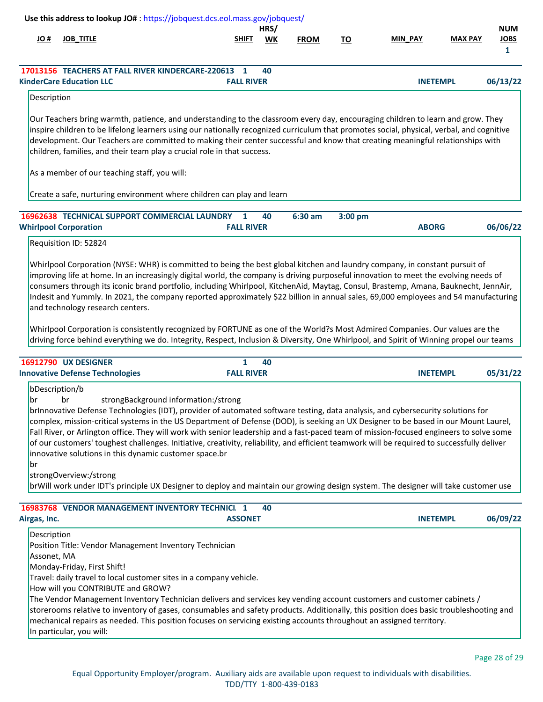|                       |                                                                                                                                                                                                                                                                                                                                                                                                                                                                                                                                                                                                                     | Use this address to lookup JO#: https://jobquest.dcs.eol.mass.gov/jobquest/                                                         |            |             |           |                 |                |                                           |
|-----------------------|---------------------------------------------------------------------------------------------------------------------------------------------------------------------------------------------------------------------------------------------------------------------------------------------------------------------------------------------------------------------------------------------------------------------------------------------------------------------------------------------------------------------------------------------------------------------------------------------------------------------|-------------------------------------------------------------------------------------------------------------------------------------|------------|-------------|-----------|-----------------|----------------|-------------------------------------------|
| # JO                  | <b>JOB_TITLE</b>                                                                                                                                                                                                                                                                                                                                                                                                                                                                                                                                                                                                    | <b>SHIFT</b>                                                                                                                        | HRS/<br>WK | <b>FROM</b> | <u>TO</u> | <b>MIN PAY</b>  | <b>MAX PAY</b> | <b>NUM</b><br><b>JOBS</b><br>$\mathbf{1}$ |
|                       | 17013156 TEACHERS AT FALL RIVER KINDERCARE-220613<br><b>KinderCare Education LLC</b>                                                                                                                                                                                                                                                                                                                                                                                                                                                                                                                                | 1<br><b>FALL RIVER</b>                                                                                                              | 40         |             |           | <b>INETEMPL</b> |                | 06/13/22                                  |
| Description           |                                                                                                                                                                                                                                                                                                                                                                                                                                                                                                                                                                                                                     |                                                                                                                                     |            |             |           |                 |                |                                           |
|                       | Our Teachers bring warmth, patience, and understanding to the classroom every day, encouraging children to learn and grow. They<br>inspire children to be lifelong learners using our nationally recognized curriculum that promotes social, physical, verbal, and cognitive<br>development. Our Teachers are committed to making their center successful and know that creating meaningful relationships with<br>children, families, and their team play a crucial role in that success.<br>As a member of our teaching staff, you will:<br>Create a safe, nurturing environment where children can play and learn |                                                                                                                                     |            |             |           |                 |                |                                           |
|                       | <b>16962638 TECHNICAL SUPPORT COMMERCIAL LAUNDRY</b>                                                                                                                                                                                                                                                                                                                                                                                                                                                                                                                                                                | 1                                                                                                                                   | 40         | 6:30 am     | 3:00 pm   |                 |                |                                           |
|                       | <b>Whirlpool Corporation</b>                                                                                                                                                                                                                                                                                                                                                                                                                                                                                                                                                                                        | <b>FALL RIVER</b>                                                                                                                   |            |             |           | <b>ABORG</b>    |                | 06/06/22                                  |
|                       | Indesit and Yummly. In 2021, the company reported approximately \$22 billion in annual sales, 69,000 employees and 54 manufacturing<br>and technology research centers.<br>Whirlpool Corporation is consistently recognized by FORTUNE as one of the World?s Most Admired Companies. Our values are the<br>driving force behind everything we do. Integrity, Respect, Inclusion & Diversity, One Whirlpool, and Spirit of Winning propel our teams                                                                                                                                                                  |                                                                                                                                     |            |             |           |                 |                |                                           |
|                       | <b>16912790 UX DESIGNER</b><br><b>Innovative Defense Technologies</b>                                                                                                                                                                                                                                                                                                                                                                                                                                                                                                                                               | $\mathbf{1}$<br><b>FALL RIVER</b>                                                                                                   | 40         |             |           | <b>INETEMPL</b> |                | 05/31/22                                  |
| bDescription/b<br>lbr | br<br>brInnovative Defense Technologies (IDT), provider of automated software testing, data analysis, and cybersecurity solutions for                                                                                                                                                                                                                                                                                                                                                                                                                                                                               | strongBackground information:/strong                                                                                                |            |             |           |                 |                |                                           |
| br                    | Fall River, or Arlington office. They will work with senior leadership and a fast-paced team of mission-focused engineers to solve some<br>of our customers' toughest challenges. Initiative, creativity, reliability, and efficient teamwork will be required to successfully deliver<br>innovative solutions in this dynamic customer space.br<br>strongOverview:/strong<br>brWill work under IDT's principle UX Designer to deploy and maintain our growing design system. The designer will take customer use                                                                                                   | complex, mission-critical systems in the US Department of Defense (DOD), is seeking an UX Designer to be based in our Mount Laurel, |            |             |           |                 |                |                                           |
| Airgas, Inc.          | 16983768 VENDOR MANAGEMENT INVENTORY TECHNICI 1                                                                                                                                                                                                                                                                                                                                                                                                                                                                                                                                                                     | <b>ASSONET</b>                                                                                                                      | 40         |             |           | <b>INETEMPL</b> |                | 06/09/22                                  |